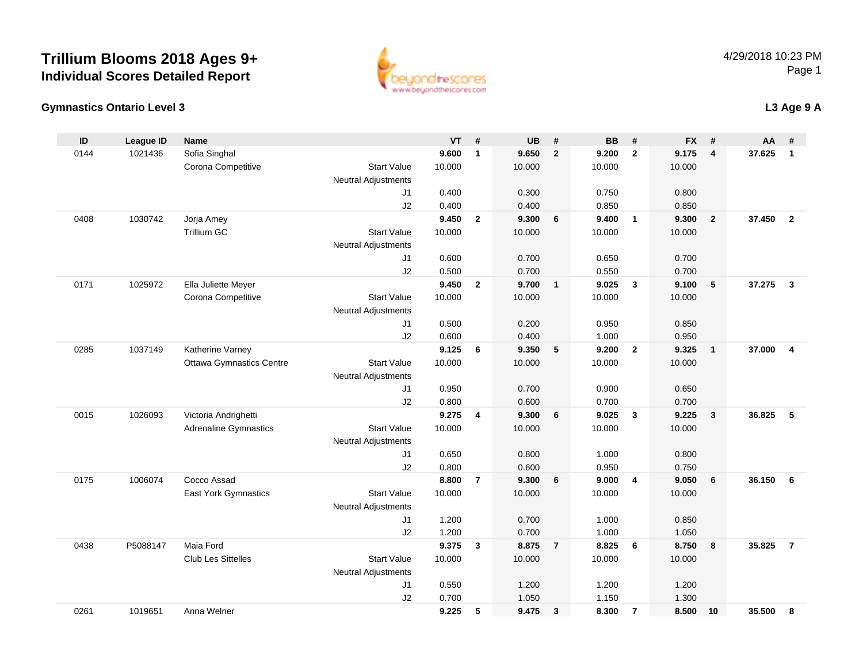



#### **L3 Age 9 A**

| ID   | <b>League ID</b> | <b>Name</b>                     |                            | <b>VT</b> | #              | <b>UB</b> | #              | <b>BB</b> | #              | <b>FX</b> | #                       | AA     | #              |
|------|------------------|---------------------------------|----------------------------|-----------|----------------|-----------|----------------|-----------|----------------|-----------|-------------------------|--------|----------------|
| 0144 | 1021436          | Sofia Singhal                   |                            | 9.600     | $\mathbf{1}$   | 9.650     | $\overline{2}$ | 9.200     | $\overline{2}$ | 9.175     | $\overline{\mathbf{4}}$ | 37.625 | $\mathbf{1}$   |
|      |                  | Corona Competitive              | <b>Start Value</b>         | 10.000    |                | 10.000    |                | 10.000    |                | 10.000    |                         |        |                |
|      |                  |                                 | Neutral Adjustments        |           |                |           |                |           |                |           |                         |        |                |
|      |                  |                                 | J1                         | 0.400     |                | 0.300     |                | 0.750     |                | 0.800     |                         |        |                |
|      |                  |                                 | J2                         | 0.400     |                | 0.400     |                | 0.850     |                | 0.850     |                         |        |                |
| 0408 | 1030742          | Jorja Amey                      |                            | 9.450     | $\overline{2}$ | 9.300     | 6              | 9.400     | $\overline{1}$ | 9.300     | $\overline{2}$          | 37.450 | $\overline{2}$ |
|      |                  | <b>Trillium GC</b>              | <b>Start Value</b>         | 10.000    |                | 10.000    |                | 10.000    |                | 10.000    |                         |        |                |
|      |                  |                                 | Neutral Adjustments        |           |                |           |                |           |                |           |                         |        |                |
|      |                  |                                 | J1                         | 0.600     |                | 0.700     |                | 0.650     |                | 0.700     |                         |        |                |
|      |                  |                                 | J2                         | 0.500     |                | 0.700     |                | 0.550     |                | 0.700     |                         |        |                |
| 0171 | 1025972          | Ella Juliette Meyer             |                            | 9.450     | $\overline{2}$ | 9.700     | $\mathbf{1}$   | 9.025     | $\mathbf{3}$   | 9.100     | 5                       | 37.275 | 3              |
|      |                  | Corona Competitive              | <b>Start Value</b>         | 10.000    |                | 10.000    |                | 10.000    |                | 10.000    |                         |        |                |
|      |                  |                                 | Neutral Adjustments        |           |                |           |                |           |                |           |                         |        |                |
|      |                  |                                 | J <sub>1</sub>             | 0.500     |                | 0.200     |                | 0.950     |                | 0.850     |                         |        |                |
|      |                  |                                 | J2                         | 0.600     |                | 0.400     |                | 1.000     |                | 0.950     |                         |        |                |
| 0285 | 1037149          | Katherine Varney                |                            | 9.125     | 6              | 9.350     | 5              | 9.200     | $\overline{2}$ | 9.325     | $\overline{1}$          | 37.000 | $\overline{4}$ |
|      |                  | <b>Ottawa Gymnastics Centre</b> | <b>Start Value</b>         | 10.000    |                | 10.000    |                | 10.000    |                | 10.000    |                         |        |                |
|      |                  |                                 | <b>Neutral Adjustments</b> |           |                |           |                |           |                |           |                         |        |                |
|      |                  |                                 | J1                         | 0.950     |                | 0.700     |                | 0.900     |                | 0.650     |                         |        |                |
|      |                  |                                 | J2                         | 0.800     |                | 0.600     |                | 0.700     |                | 0.700     |                         |        |                |
| 0015 | 1026093          | Victoria Andrighetti            |                            | 9.275     | 4              | 9.300     | 6              | 9.025     | $\mathbf{3}$   | 9.225     | $\overline{3}$          | 36.825 | 5              |
|      |                  | <b>Adrenaline Gymnastics</b>    | <b>Start Value</b>         | 10.000    |                | 10.000    |                | 10.000    |                | 10.000    |                         |        |                |
|      |                  |                                 | Neutral Adjustments        |           |                |           |                |           |                |           |                         |        |                |
|      |                  |                                 | J <sub>1</sub>             | 0.650     |                | 0.800     |                | 1.000     |                | 0.800     |                         |        |                |
|      |                  |                                 | J2                         | 0.800     |                | 0.600     |                | 0.950     |                | 0.750     |                         |        |                |
| 0175 | 1006074          | Cocco Assad                     |                            | 8.800     | $\overline{7}$ | 9.300     | 6              | 9.000     | $\overline{4}$ | 9.050     | 6                       | 36.150 | 6              |
|      |                  | East York Gymnastics            | <b>Start Value</b>         | 10.000    |                | 10.000    |                | 10.000    |                | 10.000    |                         |        |                |
|      |                  |                                 | <b>Neutral Adjustments</b> |           |                |           |                |           |                |           |                         |        |                |
|      |                  |                                 | J <sub>1</sub>             | 1.200     |                | 0.700     |                | 1.000     |                | 0.850     |                         |        |                |
|      |                  |                                 | J2                         | 1.200     |                | 0.700     |                | 1.000     |                | 1.050     |                         |        |                |
| 0438 | P5088147         | Maia Ford                       |                            | 9.375     | 3              | 8.875     | $\overline{7}$ | 8.825     | 6              | 8.750     | 8                       | 35.825 | $\overline{7}$ |
|      |                  | Club Les Sittelles              | <b>Start Value</b>         | 10.000    |                | 10.000    |                | 10.000    |                | 10.000    |                         |        |                |
|      |                  |                                 | Neutral Adjustments        |           |                |           |                |           |                |           |                         |        |                |
|      |                  |                                 | J1                         | 0.550     |                | 1.200     |                | 1.200     |                | 1.200     |                         |        |                |
|      |                  |                                 | J2                         | 0.700     |                | 1.050     |                | 1.150     |                | 1.300     |                         |        |                |
| 0261 | 1019651          | Anna Welner                     |                            | 9.225     | 5              | 9.475     | $\mathbf{3}$   | 8.300     | $\overline{7}$ | 8.500     | 10                      | 35.500 | 8              |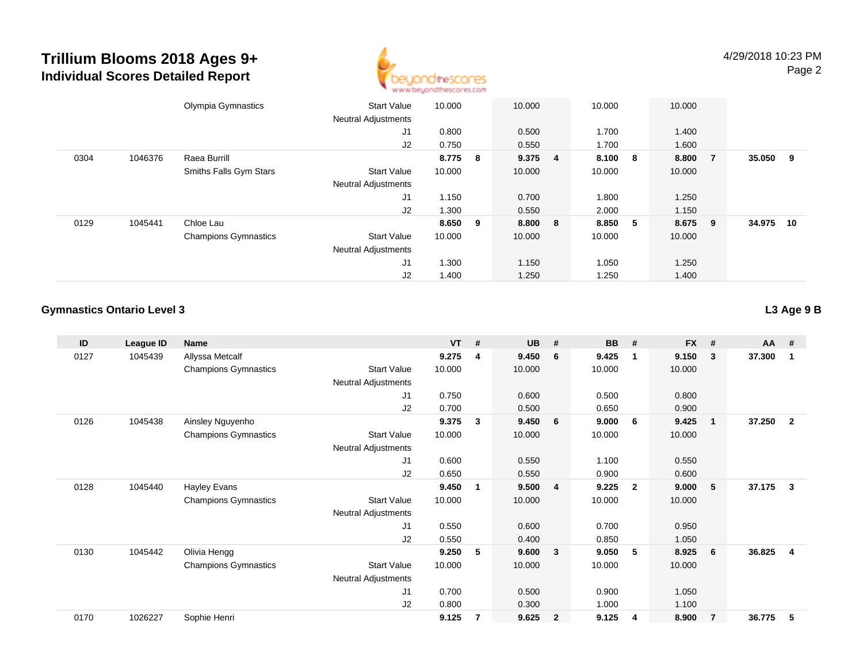

|      |         | Olympia Gymnastics          | <b>Start Value</b><br><b>Neutral Adjustments</b> | 10.000  | 10.000  | 10.000  |     | 10.000 |                |        |     |
|------|---------|-----------------------------|--------------------------------------------------|---------|---------|---------|-----|--------|----------------|--------|-----|
|      |         |                             | J1                                               | 0.800   | 0.500   | 1.700   |     | 1.400  |                |        |     |
|      |         |                             | J2                                               | 0.750   | 0.550   | 1.700   |     | 1.600  |                |        |     |
| 0304 | 1046376 | Raea Burrill                |                                                  | 8.775 8 | 9.375 4 | 8.100 8 |     | 8.800  | $\overline{7}$ | 35.050 | - 9 |
|      |         | Smiths Falls Gym Stars      | <b>Start Value</b>                               | 10.000  | 10.000  | 10.000  |     | 10.000 |                |        |     |
|      |         |                             | <b>Neutral Adjustments</b>                       |         |         |         |     |        |                |        |     |
|      |         |                             | J1                                               | 1.150   | 0.700   | 1.800   |     | 1.250  |                |        |     |
|      |         |                             | J2                                               | 1.300   | 0.550   | 2.000   |     | 1.150  |                |        |     |
| 0129 | 1045441 | Chloe Lau                   |                                                  | 8.650 9 | 8.800 8 | 8.850   | - 5 | 8.675  | - 9            | 34.975 | 10  |
|      |         | <b>Champions Gymnastics</b> | <b>Start Value</b>                               | 10.000  | 10.000  | 10.000  |     | 10.000 |                |        |     |
|      |         |                             | <b>Neutral Adjustments</b>                       |         |         |         |     |        |                |        |     |
|      |         |                             | J1                                               | 1.300   | 1.150   | 1.050   |     | 1.250  |                |        |     |
|      |         |                             | J2                                               | 1.400   | 1.250   | 1.250   |     | 1.400  |                |        |     |

#### **Gymnastics Ontario Level 3L3 Age 9 B**

| ID   | League ID | <b>Name</b>                 |                            | <b>VT</b> | # | <b>UB</b> | #              | <b>BB</b> | #              | <b>FX</b> | #                       | AA     | #              |
|------|-----------|-----------------------------|----------------------------|-----------|---|-----------|----------------|-----------|----------------|-----------|-------------------------|--------|----------------|
| 0127 | 1045439   | Allyssa Metcalf             |                            | 9.275     | 4 | 9.450     | 6              | 9.425     | $\mathbf{1}$   | 9.150     | -3                      | 37.300 | -1             |
|      |           | <b>Champions Gymnastics</b> | <b>Start Value</b>         | 10.000    |   | 10.000    |                | 10.000    |                | 10.000    |                         |        |                |
|      |           |                             | Neutral Adjustments        |           |   |           |                |           |                |           |                         |        |                |
|      |           |                             | J1                         | 0.750     |   | 0.600     |                | 0.500     |                | 0.800     |                         |        |                |
|      |           |                             | J2                         | 0.700     |   | 0.500     |                | 0.650     |                | 0.900     |                         |        |                |
| 0126 | 1045438   | Ainsley Nguyenho            |                            | 9.375     | 3 | 9.450     | 6              | 9.000     | - 6            | 9.425     | $\overline{\mathbf{1}}$ | 37.250 | $\overline{2}$ |
|      |           | <b>Champions Gymnastics</b> | <b>Start Value</b>         | 10.000    |   | 10.000    |                | 10.000    |                | 10.000    |                         |        |                |
|      |           |                             | Neutral Adjustments        |           |   |           |                |           |                |           |                         |        |                |
|      |           |                             | J1                         | 0.600     |   | 0.550     |                | 1.100     |                | 0.550     |                         |        |                |
|      |           |                             | J <sub>2</sub>             | 0.650     |   | 0.550     |                | 0.900     |                | 0.600     |                         |        |                |
| 0128 | 1045440   | Hayley Evans                |                            | 9.450     | 1 | 9.500     | 4              | 9.225     | $\overline{2}$ | 9.000     | 5                       | 37.175 | $\mathbf{3}$   |
|      |           | <b>Champions Gymnastics</b> | <b>Start Value</b>         | 10.000    |   | 10.000    |                | 10.000    |                | 10.000    |                         |        |                |
|      |           |                             | Neutral Adjustments        |           |   |           |                |           |                |           |                         |        |                |
|      |           |                             | J1                         | 0.550     |   | 0.600     |                | 0.700     |                | 0.950     |                         |        |                |
|      |           |                             | J2                         | 0.550     |   | 0.400     |                | 0.850     |                | 1.050     |                         |        |                |
| 0130 | 1045442   | Olivia Hengg                |                            | 9.250     | 5 | 9.600     | $\mathbf{3}$   | 9.050     | 5              | 8.925     | - 6                     | 36.825 | -4             |
|      |           | <b>Champions Gymnastics</b> | <b>Start Value</b>         | 10.000    |   | 10.000    |                | 10.000    |                | 10.000    |                         |        |                |
|      |           |                             | <b>Neutral Adjustments</b> |           |   |           |                |           |                |           |                         |        |                |
|      |           |                             | J1                         | 0.700     |   | 0.500     |                | 0.900     |                | 1.050     |                         |        |                |
|      |           |                             | J2                         | 0.800     |   | 0.300     |                | 1.000     |                | 1.100     |                         |        |                |
| 0170 | 1026227   | Sophie Henri                |                            | 9.125     | 7 | 9.625     | $\overline{2}$ | 9.125     | 4              | 8.900     | $\overline{7}$          | 36.775 | 5              |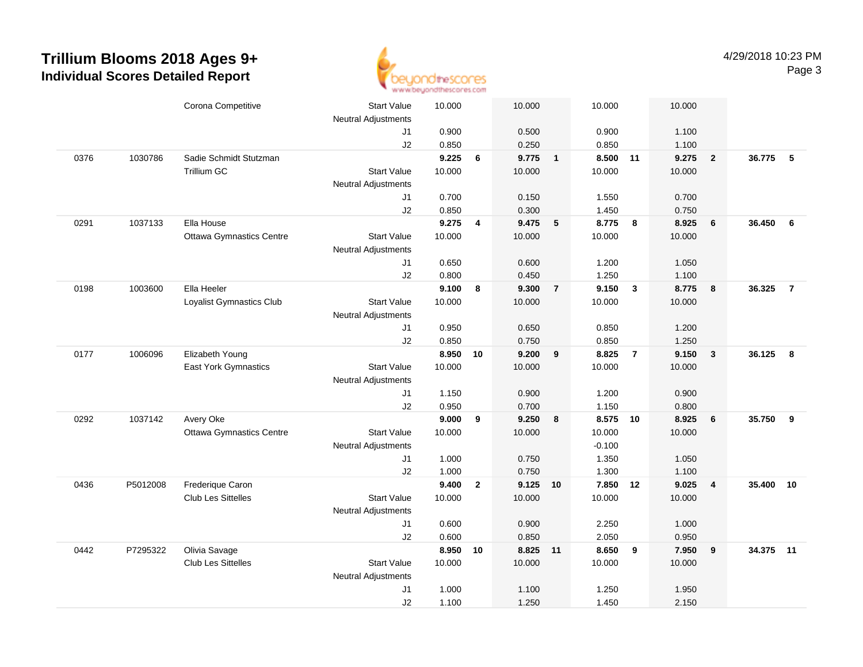

|      |          | Corona Competitive              | <b>Start Value</b>         | 10.000 |                | 10.000 |                | 10.000   |                | 10.000 |                         |        |                |
|------|----------|---------------------------------|----------------------------|--------|----------------|--------|----------------|----------|----------------|--------|-------------------------|--------|----------------|
|      |          |                                 | <b>Neutral Adjustments</b> |        |                |        |                |          |                |        |                         |        |                |
|      |          |                                 | J1                         | 0.900  |                | 0.500  |                | 0.900    |                | 1.100  |                         |        |                |
|      |          |                                 | J2                         | 0.850  |                | 0.250  |                | 0.850    |                | 1.100  |                         |        |                |
| 0376 | 1030786  | Sadie Schmidt Stutzman          |                            | 9.225  | 6              | 9.775  | $\overline{1}$ | 8.500    | 11             | 9.275  | $\overline{\mathbf{2}}$ | 36.775 | - 5            |
|      |          | Trillium GC                     | <b>Start Value</b>         | 10.000 |                | 10.000 |                | 10.000   |                | 10.000 |                         |        |                |
|      |          |                                 | <b>Neutral Adjustments</b> |        |                |        |                |          |                |        |                         |        |                |
|      |          |                                 | J1                         | 0.700  |                | 0.150  |                | 1.550    |                | 0.700  |                         |        |                |
|      |          |                                 | J2                         | 0.850  |                | 0.300  |                | 1.450    |                | 0.750  |                         |        |                |
| 0291 | 1037133  | Ella House                      |                            | 9.275  | 4              | 9.475  | 5              | 8.775    | 8              | 8.925  | $6\phantom{1}6$         | 36.450 | 6              |
|      |          | <b>Ottawa Gymnastics Centre</b> | <b>Start Value</b>         | 10.000 |                | 10.000 |                | 10.000   |                | 10.000 |                         |        |                |
|      |          |                                 | <b>Neutral Adjustments</b> |        |                |        |                |          |                |        |                         |        |                |
|      |          |                                 | J1                         | 0.650  |                | 0.600  |                | 1.200    |                | 1.050  |                         |        |                |
|      |          |                                 | J2                         | 0.800  |                | 0.450  |                | 1.250    |                | 1.100  |                         |        |                |
| 0198 | 1003600  | Ella Heeler                     |                            | 9.100  | 8              | 9.300  | $\overline{7}$ | 9.150    | $\mathbf{3}$   | 8.775  | 8                       | 36.325 | $\overline{7}$ |
|      |          | Loyalist Gymnastics Club        | <b>Start Value</b>         | 10.000 |                | 10.000 |                | 10.000   |                | 10.000 |                         |        |                |
|      |          |                                 | <b>Neutral Adjustments</b> |        |                |        |                |          |                |        |                         |        |                |
|      |          |                                 | J1                         | 0.950  |                | 0.650  |                | 0.850    |                | 1.200  |                         |        |                |
|      |          |                                 | J2                         | 0.850  |                | 0.750  |                | 0.850    |                | 1.250  |                         |        |                |
| 0177 | 1006096  | Elizabeth Young                 |                            | 8.950  | 10             | 9.200  | 9              | 8.825    | $\overline{7}$ | 9.150  | $\overline{\mathbf{3}}$ | 36.125 | 8              |
|      |          | East York Gymnastics            | <b>Start Value</b>         | 10.000 |                | 10.000 |                | 10.000   |                | 10.000 |                         |        |                |
|      |          |                                 | Neutral Adjustments        |        |                |        |                |          |                |        |                         |        |                |
|      |          |                                 | J1                         | 1.150  |                | 0.900  |                | 1.200    |                | 0.900  |                         |        |                |
|      |          |                                 |                            |        |                |        |                |          |                |        |                         |        |                |
|      |          |                                 | J2                         | 0.950  |                | 0.700  |                | 1.150    |                | 0.800  |                         |        |                |
| 0292 | 1037142  | Avery Oke                       |                            | 9.000  | 9              | 9.250  | 8              | 8.575 10 |                | 8.925  | 6                       | 35.750 | 9              |
|      |          | <b>Ottawa Gymnastics Centre</b> | <b>Start Value</b>         | 10.000 |                | 10.000 |                | 10.000   |                | 10.000 |                         |        |                |
|      |          |                                 | <b>Neutral Adjustments</b> |        |                |        |                | $-0.100$ |                |        |                         |        |                |
|      |          |                                 | J1                         | 1.000  |                | 0.750  |                | 1.350    |                | 1.050  |                         |        |                |
|      |          |                                 | J2                         | 1.000  |                | 0.750  |                | 1.300    |                | 1.100  |                         |        |                |
| 0436 | P5012008 | Frederique Caron                |                            | 9.400  | $\overline{2}$ | 9.125  | 10             | 7.850    | 12             | 9.025  | $\overline{4}$          | 35.400 | 10             |
|      |          | Club Les Sittelles              | <b>Start Value</b>         | 10.000 |                | 10.000 |                | 10.000   |                | 10.000 |                         |        |                |
|      |          |                                 | <b>Neutral Adjustments</b> |        |                |        |                |          |                |        |                         |        |                |
|      |          |                                 | J1                         | 0.600  |                | 0.900  |                | 2.250    |                | 1.000  |                         |        |                |
|      |          |                                 | J2                         | 0.600  |                | 0.850  |                | 2.050    |                | 0.950  |                         |        |                |
| 0442 | P7295322 | Olivia Savage                   |                            | 8.950  | 10             | 8.825  | 11             | 8.650    | 9              | 7.950  | 9                       | 34.375 | 11             |
|      |          | Club Les Sittelles              | <b>Start Value</b>         | 10.000 |                | 10.000 |                | 10.000   |                | 10.000 |                         |        |                |
|      |          |                                 | <b>Neutral Adjustments</b> |        |                |        |                |          |                |        |                         |        |                |
|      |          |                                 | J1                         | 1.000  |                | 1.100  |                | 1.250    |                | 1.950  |                         |        |                |
|      |          |                                 | J2                         | 1.100  |                | 1.250  |                | 1.450    |                | 2.150  |                         |        |                |
|      |          |                                 |                            |        |                |        |                |          |                |        |                         |        |                |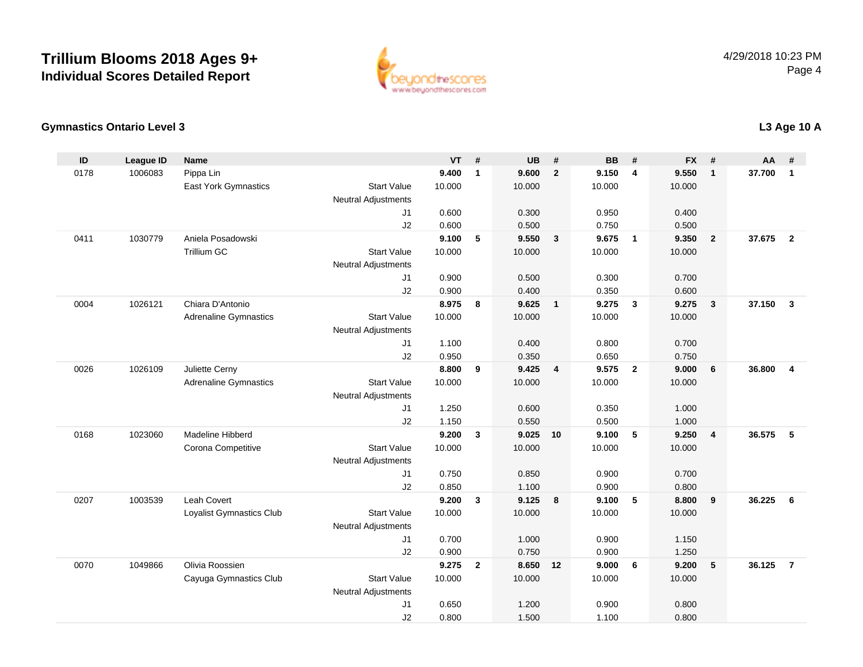

#### **Gymnastics Ontario Level 3**

| ID   | <b>League ID</b> | <b>Name</b>                  |                            | <b>VT</b> | #            | <b>UB</b> | #                       | <b>BB</b> | #              | <b>FX</b> | #              | <b>AA</b> | #              |
|------|------------------|------------------------------|----------------------------|-----------|--------------|-----------|-------------------------|-----------|----------------|-----------|----------------|-----------|----------------|
| 0178 | 1006083          | Pippa Lin                    |                            | 9.400     | $\mathbf{1}$ | 9.600     | $\overline{2}$          | 9.150     | $\overline{4}$ | 9.550     | $\mathbf{1}$   | 37.700    | $\mathbf{1}$   |
|      |                  | <b>East York Gymnastics</b>  | <b>Start Value</b>         | 10.000    |              | 10.000    |                         | 10.000    |                | 10.000    |                |           |                |
|      |                  |                              | <b>Neutral Adjustments</b> |           |              |           |                         |           |                |           |                |           |                |
|      |                  |                              | J1                         | 0.600     |              | 0.300     |                         | 0.950     |                | 0.400     |                |           |                |
|      |                  |                              | J2                         | 0.600     |              | 0.500     |                         | 0.750     |                | 0.500     |                |           |                |
| 0411 | 1030779          | Aniela Posadowski            |                            | 9.100     | 5            | 9.550     | $\overline{\mathbf{3}}$ | 9.675     | $\overline{1}$ | 9.350     | $\overline{2}$ | 37.675    | $\overline{2}$ |
|      |                  | <b>Trillium GC</b>           | <b>Start Value</b>         | 10.000    |              | 10.000    |                         | 10.000    |                | 10.000    |                |           |                |
|      |                  |                              | <b>Neutral Adjustments</b> |           |              |           |                         |           |                |           |                |           |                |
|      |                  |                              | J1                         | 0.900     |              | 0.500     |                         | 0.300     |                | 0.700     |                |           |                |
|      |                  |                              | J2                         | 0.900     |              | 0.400     |                         | 0.350     |                | 0.600     |                |           |                |
| 0004 | 1026121          | Chiara D'Antonio             |                            | 8.975     | 8            | 9.625     | $\overline{1}$          | 9.275     | $\mathbf{3}$   | 9.275     | 3              | 37.150    | $\mathbf{3}$   |
|      |                  | <b>Adrenaline Gymnastics</b> | <b>Start Value</b>         | 10.000    |              | 10.000    |                         | 10.000    |                | 10.000    |                |           |                |
|      |                  |                              | <b>Neutral Adjustments</b> |           |              |           |                         |           |                |           |                |           |                |
|      |                  |                              | J1                         | 1.100     |              | 0.400     |                         | 0.800     |                | 0.700     |                |           |                |
|      |                  |                              | J2                         | 0.950     |              | 0.350     |                         | 0.650     |                | 0.750     |                |           |                |
| 0026 | 1026109          | Juliette Cerny               |                            | 8.800     | 9            | 9.425     | $\overline{4}$          | 9.575     | $\overline{2}$ | 9.000     | 6              | 36.800    | $\overline{4}$ |
|      |                  | <b>Adrenaline Gymnastics</b> | <b>Start Value</b>         | 10.000    |              | 10.000    |                         | 10.000    |                | 10.000    |                |           |                |
|      |                  |                              | <b>Neutral Adjustments</b> |           |              |           |                         |           |                |           |                |           |                |
|      |                  |                              | J1                         | 1.250     |              | 0.600     |                         | 0.350     |                | 1.000     |                |           |                |
|      |                  |                              | J2                         | 1.150     |              | 0.550     |                         | 0.500     |                | 1.000     |                |           |                |
| 0168 | 1023060          | Madeline Hibberd             |                            | 9.200     | $\mathbf{3}$ | 9.025     | 10                      | 9.100     | 5              | 9.250     | $\overline{4}$ | 36.575    | 5              |
|      |                  | Corona Competitive           | <b>Start Value</b>         | 10.000    |              | 10.000    |                         | 10.000    |                | 10.000    |                |           |                |
|      |                  |                              | <b>Neutral Adjustments</b> |           |              |           |                         |           |                |           |                |           |                |
|      |                  |                              | J1                         | 0.750     |              | 0.850     |                         | 0.900     |                | 0.700     |                |           |                |
|      |                  |                              | J2                         | 0.850     |              | 1.100     |                         | 0.900     |                | 0.800     |                |           |                |
| 0207 | 1003539          | <b>Leah Covert</b>           |                            | 9.200     | $\mathbf{3}$ | 9.125     | 8                       | 9.100     | 5              | 8.800     | 9              | 36.225    | 6              |
|      |                  | Loyalist Gymnastics Club     | <b>Start Value</b>         | 10.000    |              | 10.000    |                         | 10.000    |                | 10.000    |                |           |                |
|      |                  |                              | <b>Neutral Adjustments</b> |           |              |           |                         |           |                |           |                |           |                |
|      |                  |                              | J1                         | 0.700     |              | 1.000     |                         | 0.900     |                | 1.150     |                |           |                |
|      |                  |                              | J2                         | 0.900     |              | 0.750     |                         | 0.900     |                | 1.250     |                |           |                |
| 0070 | 1049866          | Olivia Roossien              |                            | 9.275     | $\mathbf{2}$ | 8.650 12  |                         | 9.000     | - 6            | 9.200     | 5              | 36.125    | $\overline{7}$ |
|      |                  | Cayuga Gymnastics Club       | <b>Start Value</b>         | 10.000    |              | 10.000    |                         | 10.000    |                | 10.000    |                |           |                |
|      |                  |                              | Neutral Adjustments        |           |              |           |                         |           |                |           |                |           |                |
|      |                  |                              | J <sub>1</sub>             | 0.650     |              | 1.200     |                         | 0.900     |                | 0.800     |                |           |                |
|      |                  |                              | J2                         | 0.800     |              | 1.500     |                         | 1.100     |                | 0.800     |                |           |                |

**L3 Age 10 A**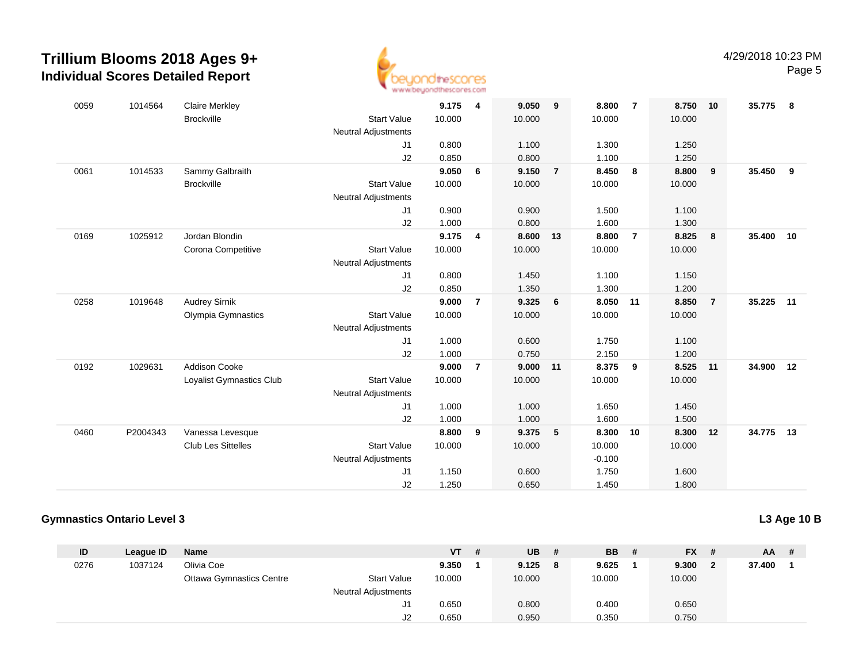

| 0059 | 1014564  | <b>Claire Merkley</b>     |                            | 9.175  | 4              | 9.050  | 9              | 8.800    | $\overline{7}$ | 8.750  | 10             | 35.775 | -8 |
|------|----------|---------------------------|----------------------------|--------|----------------|--------|----------------|----------|----------------|--------|----------------|--------|----|
|      |          | <b>Brockville</b>         | <b>Start Value</b>         | 10.000 |                | 10.000 |                | 10.000   |                | 10.000 |                |        |    |
|      |          |                           | <b>Neutral Adjustments</b> |        |                |        |                |          |                |        |                |        |    |
|      |          |                           | J1                         | 0.800  |                | 1.100  |                | 1.300    |                | 1.250  |                |        |    |
|      |          |                           | J <sub>2</sub>             | 0.850  |                | 0.800  |                | 1.100    |                | 1.250  |                |        |    |
| 0061 | 1014533  | Sammy Galbraith           |                            | 9.050  | 6              | 9.150  | $\overline{7}$ | 8.450    | 8              | 8.800  | 9              | 35.450 | 9  |
|      |          | <b>Brockville</b>         | <b>Start Value</b>         | 10.000 |                | 10.000 |                | 10.000   |                | 10.000 |                |        |    |
|      |          |                           | <b>Neutral Adjustments</b> |        |                |        |                |          |                |        |                |        |    |
|      |          |                           | J1                         | 0.900  |                | 0.900  |                | 1.500    |                | 1.100  |                |        |    |
|      |          |                           | J2                         | 1.000  |                | 0.800  |                | 1.600    |                | 1.300  |                |        |    |
| 0169 | 1025912  | Jordan Blondin            |                            | 9.175  | $\overline{4}$ | 8.600  | 13             | 8.800    | $\overline{7}$ | 8.825  | 8              | 35.400 | 10 |
|      |          | Corona Competitive        | <b>Start Value</b>         | 10.000 |                | 10.000 |                | 10.000   |                | 10.000 |                |        |    |
|      |          |                           | <b>Neutral Adjustments</b> |        |                |        |                |          |                |        |                |        |    |
|      |          |                           | J1                         | 0.800  |                | 1.450  |                | 1.100    |                | 1.150  |                |        |    |
|      |          |                           | J2                         | 0.850  |                | 1.350  |                | 1.300    |                | 1.200  |                |        |    |
| 0258 | 1019648  | <b>Audrey Sirnik</b>      |                            | 9.000  | $\overline{7}$ | 9.325  | 6              | 8.050    | 11             | 8.850  | $\overline{7}$ | 35.225 | 11 |
|      |          | Olympia Gymnastics        | <b>Start Value</b>         | 10.000 |                | 10.000 |                | 10.000   |                | 10.000 |                |        |    |
|      |          |                           | <b>Neutral Adjustments</b> |        |                |        |                |          |                |        |                |        |    |
|      |          |                           | J <sub>1</sub>             | 1.000  |                | 0.600  |                | 1.750    |                | 1.100  |                |        |    |
|      |          |                           | J2                         | 1.000  |                | 0.750  |                | 2.150    |                | 1.200  |                |        |    |
| 0192 | 1029631  | <b>Addison Cooke</b>      |                            | 9.000  | $\overline{7}$ | 9.000  | 11             | 8.375    | 9              | 8.525  | 11             | 34.900 | 12 |
|      |          | Loyalist Gymnastics Club  | <b>Start Value</b>         | 10.000 |                | 10.000 |                | 10.000   |                | 10.000 |                |        |    |
|      |          |                           | <b>Neutral Adjustments</b> |        |                |        |                |          |                |        |                |        |    |
|      |          |                           | J1                         | 1.000  |                | 1.000  |                | 1.650    |                | 1.450  |                |        |    |
|      |          |                           | J2                         | 1.000  |                | 1.000  |                | 1.600    |                | 1.500  |                |        |    |
| 0460 | P2004343 | Vanessa Levesque          |                            | 8.800  | 9              | 9.375  | 5              | 8.300    | 10             | 8.300  | 12             | 34.775 | 13 |
|      |          | <b>Club Les Sittelles</b> | <b>Start Value</b>         | 10.000 |                | 10.000 |                | 10.000   |                | 10.000 |                |        |    |
|      |          |                           | <b>Neutral Adjustments</b> |        |                |        |                | $-0.100$ |                |        |                |        |    |
|      |          |                           | J1                         | 1.150  |                | 0.600  |                | 1.750    |                | 1.600  |                |        |    |
|      |          |                           | J2                         | 1.250  |                | 0.650  |                | 1.450    |                | 1.800  |                |        |    |
|      |          |                           |                            |        |                |        |                |          |                |        |                |        |    |

#### **Gymnastics Ontario Level 3**

**L3 Age 10 B**

| ID   | League ID | <b>Name</b>                     |                            | <b>VT</b> | -# | <b>UB</b> | # | BB.    | # | $FX$ # |   | $AA$ # |  |
|------|-----------|---------------------------------|----------------------------|-----------|----|-----------|---|--------|---|--------|---|--------|--|
| 0276 | 1037124   | Olivia Coe                      |                            | 9.350     |    | 9.125     | 8 | 9.625  |   | 9.300  | 2 | 37.400 |  |
|      |           | <b>Ottawa Gymnastics Centre</b> | <b>Start Value</b>         | 10.000    |    | 10.000    |   | 10.000 |   | 10.000 |   |        |  |
|      |           |                                 | <b>Neutral Adjustments</b> |           |    |           |   |        |   |        |   |        |  |
|      |           |                                 | J1                         | 0.650     |    | 0.800     |   | 0.400  |   | 0.650  |   |        |  |
|      |           |                                 | J2                         | 0.650     |    | 0.950     |   | 0.350  |   | 0.750  |   |        |  |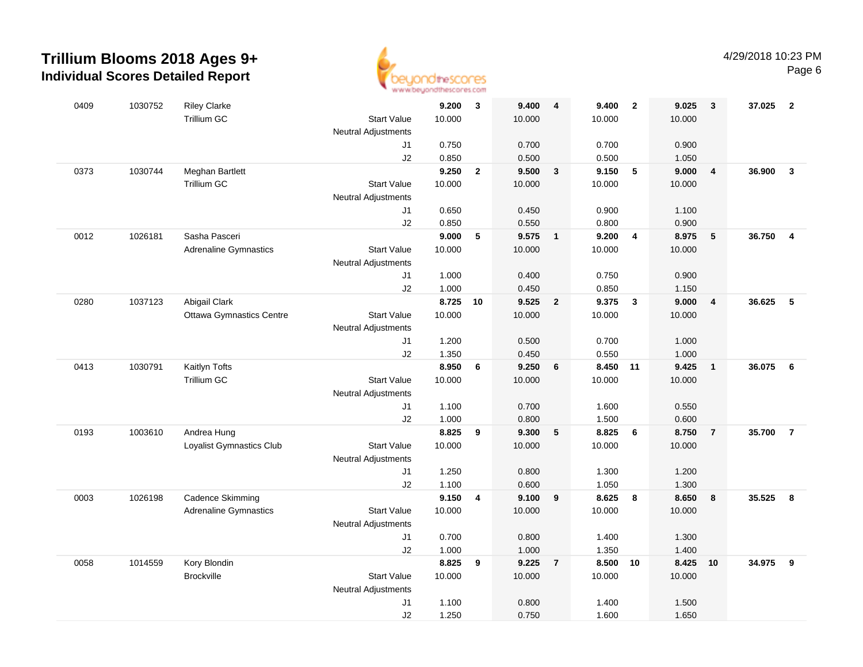

| 0409 | 1030752 | <b>Riley Clarke</b>             |                            | 9.200  | 3            | 9.400  | $\overline{\mathbf{4}}$ | 9.400    | $\overline{\mathbf{2}}$  | 9.025  | $\mathbf{3}$            | 37.025 | $\overline{2}$ |
|------|---------|---------------------------------|----------------------------|--------|--------------|--------|-------------------------|----------|--------------------------|--------|-------------------------|--------|----------------|
|      |         | Trillium GC                     | <b>Start Value</b>         | 10.000 |              | 10.000 |                         | 10.000   |                          | 10.000 |                         |        |                |
|      |         |                                 | <b>Neutral Adjustments</b> |        |              |        |                         |          |                          |        |                         |        |                |
|      |         |                                 | J1                         | 0.750  |              | 0.700  |                         | 0.700    |                          | 0.900  |                         |        |                |
|      |         |                                 | J2                         | 0.850  |              | 0.500  |                         | 0.500    |                          | 1.050  |                         |        |                |
| 0373 | 1030744 | Meghan Bartlett                 |                            | 9.250  | $\mathbf{2}$ | 9.500  | $\mathbf{3}$            | 9.150    | $\overline{\phantom{0}}$ | 9.000  | $\overline{\mathbf{4}}$ | 36.900 | $\mathbf{3}$   |
|      |         | <b>Trillium GC</b>              | <b>Start Value</b>         | 10.000 |              | 10.000 |                         | 10.000   |                          | 10.000 |                         |        |                |
|      |         |                                 | <b>Neutral Adjustments</b> |        |              |        |                         |          |                          |        |                         |        |                |
|      |         |                                 | J1                         | 0.650  |              | 0.450  |                         | 0.900    |                          | 1.100  |                         |        |                |
|      |         |                                 | J2                         | 0.850  |              | 0.550  |                         | 0.800    |                          | 0.900  |                         |        |                |
| 0012 | 1026181 | Sasha Pasceri                   |                            | 9.000  | 5            | 9.575  | $\overline{\mathbf{1}}$ | 9.200    | $\overline{4}$           | 8.975  | $5\phantom{.0}$         | 36.750 | 4              |
|      |         | <b>Adrenaline Gymnastics</b>    | <b>Start Value</b>         | 10.000 |              | 10.000 |                         | 10.000   |                          | 10.000 |                         |        |                |
|      |         |                                 | <b>Neutral Adjustments</b> |        |              |        |                         |          |                          |        |                         |        |                |
|      |         |                                 | J1                         | 1.000  |              | 0.400  |                         | 0.750    |                          | 0.900  |                         |        |                |
|      |         |                                 | J2                         | 1.000  |              | 0.450  |                         | 0.850    |                          | 1.150  |                         |        |                |
| 0280 | 1037123 | Abigail Clark                   |                            | 8.725  | 10           | 9.525  | $\overline{2}$          | 9.375    | $\overline{\mathbf{3}}$  | 9.000  | $\overline{\mathbf{4}}$ | 36.625 | 5              |
|      |         | <b>Ottawa Gymnastics Centre</b> | <b>Start Value</b>         | 10.000 |              | 10.000 |                         | 10.000   |                          | 10.000 |                         |        |                |
|      |         |                                 | <b>Neutral Adjustments</b> |        |              |        |                         |          |                          |        |                         |        |                |
|      |         |                                 | J1                         | 1.200  |              | 0.500  |                         | 0.700    |                          | 1.000  |                         |        |                |
|      |         |                                 | J2                         | 1.350  |              | 0.450  |                         | 0.550    |                          | 1.000  |                         |        |                |
| 0413 | 1030791 | Kaitlyn Tofts                   |                            | 8.950  | 6            | 9.250  | 6                       | 8.450 11 |                          | 9.425  | $\overline{1}$          | 36.075 | 6              |
|      |         | Trillium GC                     | <b>Start Value</b>         | 10.000 |              | 10.000 |                         | 10.000   |                          | 10.000 |                         |        |                |
|      |         |                                 | <b>Neutral Adjustments</b> |        |              |        |                         |          |                          |        |                         |        |                |
|      |         |                                 | J1                         | 1.100  |              | 0.700  |                         | 1.600    |                          | 0.550  |                         |        |                |
|      |         |                                 | J2                         | 1.000  |              | 0.800  |                         | 1.500    |                          | 0.600  |                         |        |                |
| 0193 | 1003610 | Andrea Hung                     |                            | 8.825  | 9            | 9.300  | 5                       | 8.825    | 6                        | 8.750  | $\overline{7}$          | 35.700 | $\overline{7}$ |
|      |         | Loyalist Gymnastics Club        | <b>Start Value</b>         | 10.000 |              | 10.000 |                         | 10.000   |                          | 10.000 |                         |        |                |
|      |         |                                 | <b>Neutral Adjustments</b> |        |              |        |                         |          |                          |        |                         |        |                |
|      |         |                                 | J1                         | 1.250  |              | 0.800  |                         | 1.300    |                          | 1.200  |                         |        |                |
|      |         |                                 | J2                         | 1.100  |              | 0.600  |                         | 1.050    |                          | 1.300  |                         |        |                |
| 0003 | 1026198 | Cadence Skimming                |                            | 9.150  | 4            | 9.100  | 9                       | 8.625    | $\boldsymbol{8}$         | 8.650  | 8                       | 35.525 | 8              |
|      |         | <b>Adrenaline Gymnastics</b>    | <b>Start Value</b>         | 10.000 |              | 10.000 |                         | 10.000   |                          | 10.000 |                         |        |                |
|      |         |                                 | <b>Neutral Adjustments</b> |        |              |        |                         |          |                          |        |                         |        |                |
|      |         |                                 | J1                         | 0.700  |              | 0.800  |                         | 1.400    |                          | 1.300  |                         |        |                |
|      |         |                                 | J2                         | 1.000  |              | 1.000  |                         | 1.350    |                          | 1.400  |                         |        |                |
| 0058 | 1014559 | Kory Blondin                    |                            | 8.825  | 9            | 9.225  | $\overline{7}$          | 8.500 10 |                          | 8.425  | 10                      | 34.975 | 9              |
|      |         | <b>Brockville</b>               | <b>Start Value</b>         | 10.000 |              | 10.000 |                         | 10.000   |                          | 10.000 |                         |        |                |
|      |         |                                 | <b>Neutral Adjustments</b> |        |              |        |                         |          |                          |        |                         |        |                |
|      |         |                                 | J1                         | 1.100  |              | 0.800  |                         | 1.400    |                          | 1.500  |                         |        |                |
|      |         |                                 | J2                         | 1.250  |              | 0.750  |                         | 1.600    |                          | 1.650  |                         |        |                |
|      |         |                                 |                            |        |              |        |                         |          |                          |        |                         |        |                |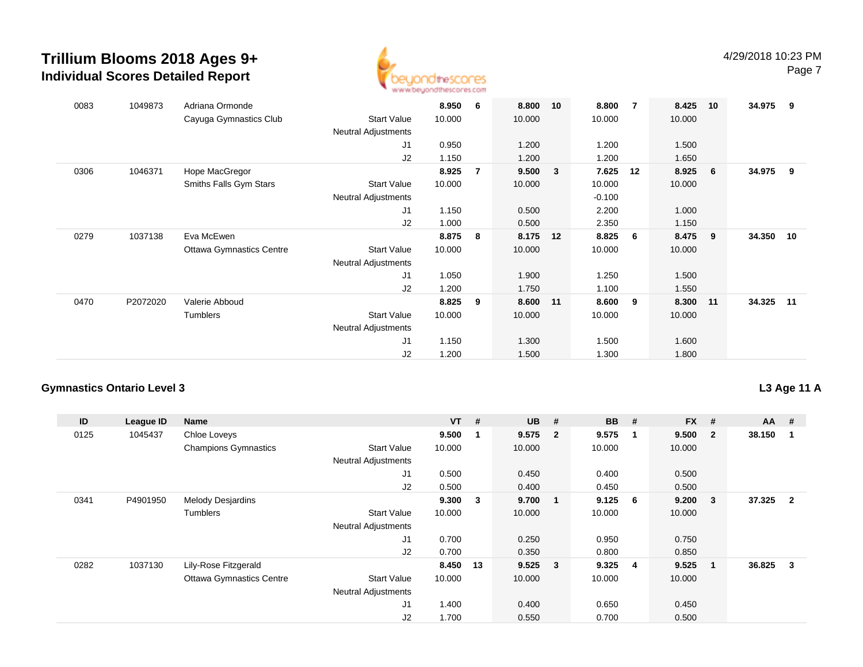

| 0083 | 1049873  | Adriana Ormonde<br>Cayuga Gymnastics Club | <b>Start Value</b>         | 8.950<br>10.000 | -6 | 8.800<br>10.000 | 10 | 8.800<br>10.000 | 7  | 8.425<br>10.000 | 10  | 34.975 | - 9   |
|------|----------|-------------------------------------------|----------------------------|-----------------|----|-----------------|----|-----------------|----|-----------------|-----|--------|-------|
|      |          |                                           | <b>Neutral Adjustments</b> |                 |    |                 |    |                 |    |                 |     |        |       |
|      |          |                                           | J1                         | 0.950           |    | 1.200           |    | 1.200           |    | 1.500           |     |        |       |
|      |          |                                           | J2                         | 1.150           |    | 1.200           |    | 1.200           |    | 1.650           |     |        |       |
| 0306 | 1046371  | Hope MacGregor                            |                            | 8.925           | 7  | 9.500           | 3  | 7.625           | 12 | 8.925           | 6   | 34.975 | - 9   |
|      |          | Smiths Falls Gym Stars                    | <b>Start Value</b>         | 10.000          |    | 10.000          |    | 10.000          |    | 10.000          |     |        |       |
|      |          |                                           | <b>Neutral Adjustments</b> |                 |    |                 |    | $-0.100$        |    |                 |     |        |       |
|      |          |                                           | J <sub>1</sub>             | 1.150           |    | 0.500           |    | 2.200           |    | 1.000           |     |        |       |
|      |          |                                           | J2                         | 1.000           |    | 0.500           |    | 2.350           |    | 1.150           |     |        |       |
| 0279 | 1037138  | Eva McEwen                                |                            | 8.875           | 8  | 8.175           | 12 | 8.825           | 6  | 8.475           | - 9 | 34.350 | 10    |
|      |          | <b>Ottawa Gymnastics Centre</b>           | <b>Start Value</b>         | 10.000          |    | 10.000          |    | 10.000          |    | 10.000          |     |        |       |
|      |          |                                           | <b>Neutral Adjustments</b> |                 |    |                 |    |                 |    |                 |     |        |       |
|      |          |                                           | J1                         | 1.050           |    | 1.900           |    | 1.250           |    | 1.500           |     |        |       |
|      |          |                                           | J2                         | 1.200           |    | 1.750           |    | 1.100           |    | 1.550           |     |        |       |
| 0470 | P2072020 | Valerie Abboud                            |                            | 8.825           | 9  | 8.600           | 11 | 8.600           | 9  | 8.300           | 11  | 34.325 | $-11$ |
|      |          | Tumblers                                  | <b>Start Value</b>         | 10.000          |    | 10.000          |    | 10.000          |    | 10.000          |     |        |       |
|      |          |                                           | <b>Neutral Adjustments</b> |                 |    |                 |    |                 |    |                 |     |        |       |
|      |          |                                           | J <sub>1</sub>             | 1.150           |    | 1.300           |    | 1.500           |    | 1.600           |     |        |       |
|      |          |                                           | J2                         | 1.200           |    | 1.500           |    | 1.300           |    | 1.800           |     |        |       |

### **Gymnastics Ontario Level 3**

### **L3 Age 11 A**

| ID   | League ID | Name                            |                            | $VT$ #   |                | $UB$ #    |                         | <b>BB</b> | #                       | <b>FX</b> | #            | $AA$ # |                |
|------|-----------|---------------------------------|----------------------------|----------|----------------|-----------|-------------------------|-----------|-------------------------|-----------|--------------|--------|----------------|
| 0125 | 1045437   | Chloe Loveys                    |                            | 9.500    | $\overline{1}$ | 9.575     | $\overline{\mathbf{2}}$ | 9.575     | -1                      | 9.500     | $\mathbf{2}$ | 38.150 |                |
|      |           | <b>Champions Gymnastics</b>     | <b>Start Value</b>         | 10.000   |                | 10.000    |                         | 10.000    |                         | 10.000    |              |        |                |
|      |           |                                 | <b>Neutral Adjustments</b> |          |                |           |                         |           |                         |           |              |        |                |
|      |           |                                 | J <sub>1</sub>             | 0.500    |                | 0.450     |                         | 0.400     |                         | 0.500     |              |        |                |
|      |           |                                 | J2                         | 0.500    |                | 0.400     |                         | 0.450     |                         | 0.500     |              |        |                |
| 0341 | P4901950  | <b>Melody Desjardins</b>        |                            | 9.300    | 3              | 9.700     | $\mathbf 1$             | 9.125     | - 6                     | 9.200     | 3            | 37.325 | $\overline{2}$ |
|      |           | Tumblers                        | <b>Start Value</b>         | 10.000   |                | 10.000    |                         | 10.000    |                         | 10.000    |              |        |                |
|      |           |                                 | <b>Neutral Adjustments</b> |          |                |           |                         |           |                         |           |              |        |                |
|      |           |                                 | J1                         | 0.700    |                | 0.250     |                         | 0.950     |                         | 0.750     |              |        |                |
|      |           |                                 | J2                         | 0.700    |                | 0.350     |                         | 0.800     |                         | 0.850     |              |        |                |
| 0282 | 1037130   | Lily-Rose Fitzgerald            |                            | 8.450 13 |                | $9.525$ 3 |                         | 9.325     | $\overline{\mathbf{4}}$ | 9.525     | $\mathbf 1$  | 36.825 | 3              |
|      |           | <b>Ottawa Gymnastics Centre</b> | <b>Start Value</b>         | 10.000   |                | 10.000    |                         | 10.000    |                         | 10.000    |              |        |                |
|      |           |                                 | <b>Neutral Adjustments</b> |          |                |           |                         |           |                         |           |              |        |                |
|      |           |                                 | J <sub>1</sub>             | 1.400    |                | 0.400     |                         | 0.650     |                         | 0.450     |              |        |                |
|      |           |                                 | J2                         | 1.700    |                | 0.550     |                         | 0.700     |                         | 0.500     |              |        |                |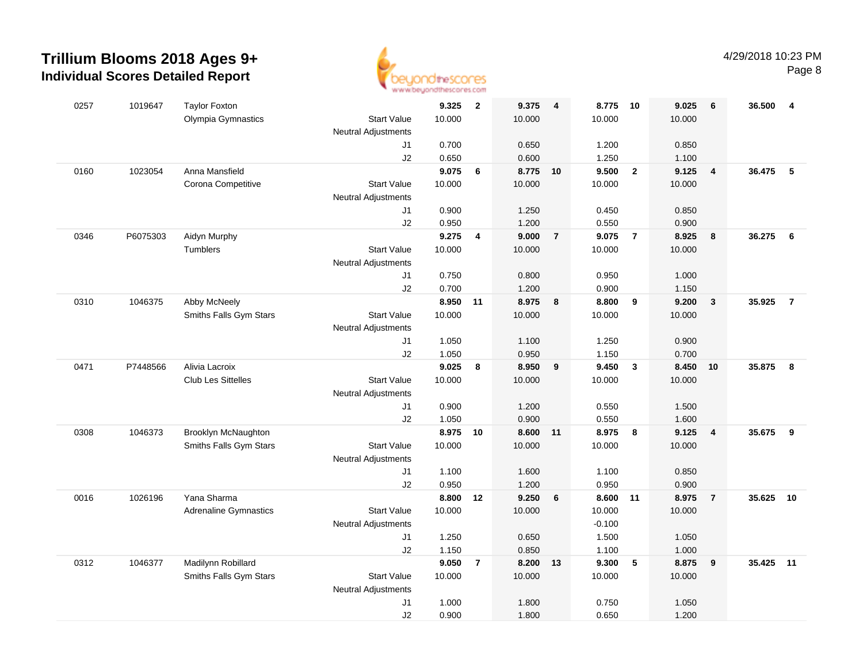

| 0257 | 1019647  | <b>Taylor Foxton</b>         |                            | 9.325  | $\overline{\mathbf{2}}$ | 9.375    | $\overline{\mathbf{4}}$ | 8.775 10 |                | 9.025  | 6                       | 36.500 | 4              |
|------|----------|------------------------------|----------------------------|--------|-------------------------|----------|-------------------------|----------|----------------|--------|-------------------------|--------|----------------|
|      |          | Olympia Gymnastics           | <b>Start Value</b>         | 10.000 |                         | 10.000   |                         | 10.000   |                | 10.000 |                         |        |                |
|      |          |                              | <b>Neutral Adjustments</b> |        |                         |          |                         |          |                |        |                         |        |                |
|      |          |                              | J1                         | 0.700  |                         | 0.650    |                         | 1.200    |                | 0.850  |                         |        |                |
|      |          |                              | J2                         | 0.650  |                         | 0.600    |                         | 1.250    |                | 1.100  |                         |        |                |
| 0160 | 1023054  | Anna Mansfield               |                            | 9.075  | 6                       | 8.775 10 |                         | 9.500    | $\overline{2}$ | 9.125  | $\overline{4}$          | 36.475 | 5              |
|      |          | Corona Competitive           | <b>Start Value</b>         | 10.000 |                         | 10.000   |                         | 10.000   |                | 10.000 |                         |        |                |
|      |          |                              | <b>Neutral Adjustments</b> |        |                         |          |                         |          |                |        |                         |        |                |
|      |          |                              | J1                         | 0.900  |                         | 1.250    |                         | 0.450    |                | 0.850  |                         |        |                |
|      |          |                              | J2                         | 0.950  |                         | 1.200    |                         | 0.550    |                | 0.900  |                         |        |                |
| 0346 | P6075303 | Aidyn Murphy                 |                            | 9.275  | 4                       | 9.000    | $\overline{7}$          | 9.075    | $\overline{7}$ | 8.925  | 8                       | 36.275 | 6              |
|      |          | <b>Tumblers</b>              | <b>Start Value</b>         | 10.000 |                         | 10.000   |                         | 10.000   |                | 10.000 |                         |        |                |
|      |          |                              | <b>Neutral Adjustments</b> |        |                         |          |                         |          |                |        |                         |        |                |
|      |          |                              | J1                         | 0.750  |                         | 0.800    |                         | 0.950    |                | 1.000  |                         |        |                |
|      |          |                              | J2                         | 0.700  |                         | 1.200    |                         | 0.900    |                | 1.150  |                         |        |                |
| 0310 | 1046375  | Abby McNeely                 |                            | 8.950  | 11                      | 8.975    | 8                       | 8.800    | 9              | 9.200  | $\overline{\mathbf{3}}$ | 35.925 | $\overline{7}$ |
|      |          | Smiths Falls Gym Stars       | <b>Start Value</b>         | 10.000 |                         | 10.000   |                         | 10.000   |                | 10.000 |                         |        |                |
|      |          |                              | <b>Neutral Adjustments</b> |        |                         |          |                         |          |                |        |                         |        |                |
|      |          |                              | J1                         | 1.050  |                         | 1.100    |                         | 1.250    |                | 0.900  |                         |        |                |
|      |          |                              | J2                         | 1.050  |                         | 0.950    |                         | 1.150    |                | 0.700  |                         |        |                |
| 0471 | P7448566 | Alivia Lacroix               |                            | 9.025  | 8                       | 8.950    | 9                       | 9.450    | $\mathbf{3}$   | 8.450  | 10                      | 35.875 | 8              |
|      |          | <b>Club Les Sittelles</b>    | <b>Start Value</b>         | 10.000 |                         | 10.000   |                         | 10.000   |                | 10.000 |                         |        |                |
|      |          |                              | <b>Neutral Adjustments</b> |        |                         |          |                         |          |                |        |                         |        |                |
|      |          |                              | J1                         | 0.900  |                         | 1.200    |                         | 0.550    |                | 1.500  |                         |        |                |
|      |          |                              | J2                         | 1.050  |                         | 0.900    |                         | 0.550    |                | 1.600  |                         |        |                |
| 0308 | 1046373  | Brooklyn McNaughton          |                            | 8.975  | 10                      | 8.600    | $-11$                   | 8.975    | 8              | 9.125  | $\overline{\mathbf{4}}$ | 35.675 | 9              |
|      |          | Smiths Falls Gym Stars       | <b>Start Value</b>         | 10.000 |                         | 10.000   |                         | 10.000   |                | 10.000 |                         |        |                |
|      |          |                              | <b>Neutral Adjustments</b> |        |                         |          |                         |          |                |        |                         |        |                |
|      |          |                              | J1                         | 1.100  |                         | 1.600    |                         | 1.100    |                | 0.850  |                         |        |                |
|      |          |                              | J2                         | 0.950  |                         | 1.200    |                         | 0.950    |                | 0.900  |                         |        |                |
| 0016 | 1026196  | Yana Sharma                  |                            | 8.800  | 12                      | 9.250    | 6                       | 8.600    | 11             | 8.975  | $\overline{7}$          | 35.625 | 10             |
|      |          | <b>Adrenaline Gymnastics</b> | <b>Start Value</b>         | 10.000 |                         | 10.000   |                         | 10.000   |                | 10.000 |                         |        |                |
|      |          |                              | <b>Neutral Adjustments</b> |        |                         |          |                         | $-0.100$ |                |        |                         |        |                |
|      |          |                              | J1                         | 1.250  |                         | 0.650    |                         | 1.500    |                | 1.050  |                         |        |                |
|      |          |                              | J2                         | 1.150  |                         | 0.850    |                         | 1.100    |                | 1.000  |                         |        |                |
| 0312 | 1046377  | Madilynn Robillard           |                            | 9.050  | $\overline{7}$          | 8.200    | 13                      | 9.300    | $\sqrt{5}$     | 8.875  | 9                       | 35.425 | 11             |
|      |          | Smiths Falls Gym Stars       | <b>Start Value</b>         | 10.000 |                         | 10.000   |                         | 10.000   |                | 10.000 |                         |        |                |
|      |          |                              | <b>Neutral Adjustments</b> |        |                         |          |                         |          |                |        |                         |        |                |
|      |          |                              | J1                         | 1.000  |                         | 1.800    |                         | 0.750    |                | 1.050  |                         |        |                |
|      |          |                              | J2                         | 0.900  |                         | 1.800    |                         | 0.650    |                | 1.200  |                         |        |                |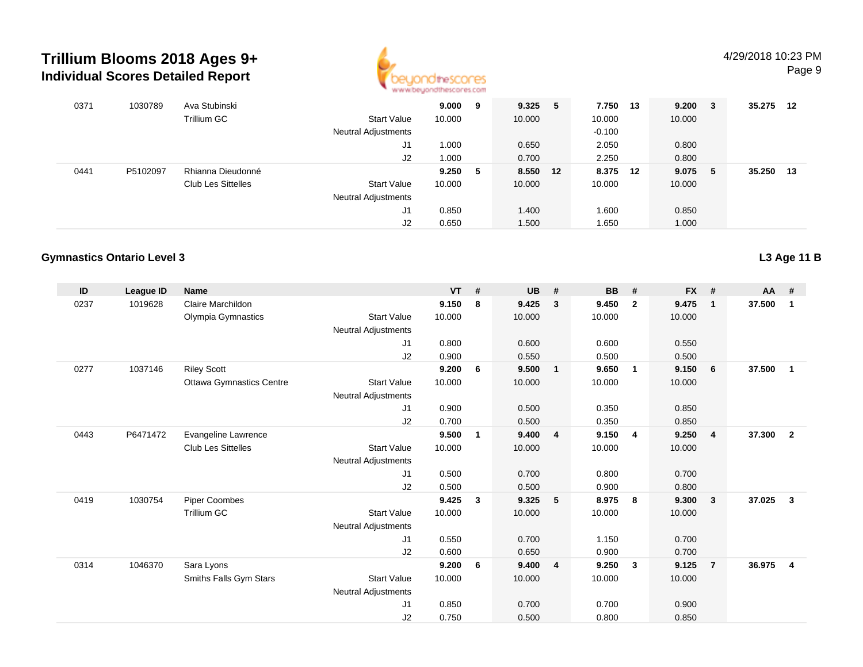

| 0371 | 1030789  | Ava Stubinski             |                            | 9.000  | 9 | 9.325    | 5 | 7.750    | - 13 | 9.200  | - 3 | 35.275 | 12 |
|------|----------|---------------------------|----------------------------|--------|---|----------|---|----------|------|--------|-----|--------|----|
|      |          | Trillium GC               | <b>Start Value</b>         | 10.000 |   | 10.000   |   | 10.000   |      | 10.000 |     |        |    |
|      |          |                           | <b>Neutral Adjustments</b> |        |   |          |   | $-0.100$ |      |        |     |        |    |
|      |          |                           | J1                         | 1.000  |   | 0.650    |   | 2.050    |      | 0.800  |     |        |    |
|      |          |                           | J2                         | 1.000  |   | 0.700    |   | 2.250    |      | 0.800  |     |        |    |
| 0441 | P5102097 | Rhianna Dieudonné         |                            | 9.250  | 5 | 8.550 12 |   | 8.375 12 |      | 9.075  | -5  | 35.250 | 13 |
|      |          | <b>Club Les Sittelles</b> | <b>Start Value</b>         | 10.000 |   | 10.000   |   | 10.000   |      | 10.000 |     |        |    |
|      |          |                           | <b>Neutral Adjustments</b> |        |   |          |   |          |      |        |     |        |    |
|      |          |                           | J1                         | 0.850  |   | 1.400    |   | 1.600    |      | 0.850  |     |        |    |
|      |          |                           | J2                         | 0.650  |   | 1.500    |   | i .650   |      | 1.000  |     |        |    |

#### **Gymnastics Ontario Level 3**

| ID   | League ID | <b>Name</b>                     |                            | $VT$ # |   | <b>UB</b> | #              | <b>BB</b> | #              | <b>FX</b> | #              | $AA$ # |                |
|------|-----------|---------------------------------|----------------------------|--------|---|-----------|----------------|-----------|----------------|-----------|----------------|--------|----------------|
| 0237 | 1019628   | Claire Marchildon               |                            | 9.150  | 8 | 9.425     | $\mathbf{3}$   | 9.450     | $\overline{2}$ | 9.475     | $\mathbf{1}$   | 37.500 | $\mathbf{1}$   |
|      |           | Olympia Gymnastics              | <b>Start Value</b>         | 10.000 |   | 10.000    |                | 10.000    |                | 10.000    |                |        |                |
|      |           |                                 | <b>Neutral Adjustments</b> |        |   |           |                |           |                |           |                |        |                |
|      |           |                                 | J1                         | 0.800  |   | 0.600     |                | 0.600     |                | 0.550     |                |        |                |
|      |           |                                 | J2                         | 0.900  |   | 0.550     |                | 0.500     |                | 0.500     |                |        |                |
| 0277 | 1037146   | <b>Riley Scott</b>              |                            | 9.200  | 6 | 9.500     | $\blacksquare$ | 9.650     | $\overline{1}$ | 9.150     | 6              | 37.500 | $\mathbf{1}$   |
|      |           | <b>Ottawa Gymnastics Centre</b> | <b>Start Value</b>         | 10.000 |   | 10.000    |                | 10.000    |                | 10.000    |                |        |                |
|      |           |                                 | Neutral Adjustments        |        |   |           |                |           |                |           |                |        |                |
|      |           |                                 | J1                         | 0.900  |   | 0.500     |                | 0.350     |                | 0.850     |                |        |                |
|      |           |                                 | J2                         | 0.700  |   | 0.500     |                | 0.350     |                | 0.850     |                |        |                |
| 0443 | P6471472  | Evangeline Lawrence             |                            | 9.500  | 1 | 9.400     | $\overline{4}$ | 9.150     | $\overline{4}$ | 9.250     | $\overline{4}$ | 37.300 | $\overline{2}$ |
|      |           | <b>Club Les Sittelles</b>       | <b>Start Value</b>         | 10.000 |   | 10.000    |                | 10.000    |                | 10.000    |                |        |                |
|      |           |                                 | Neutral Adjustments        |        |   |           |                |           |                |           |                |        |                |
|      |           |                                 | J1                         | 0.500  |   | 0.700     |                | 0.800     |                | 0.700     |                |        |                |
|      |           |                                 | J2                         | 0.500  |   | 0.500     |                | 0.900     |                | 0.800     |                |        |                |
| 0419 | 1030754   | <b>Piper Coombes</b>            |                            | 9.425  | 3 | 9.325     | 5              | 8.975     | 8              | 9.300     | 3              | 37.025 | 3              |
|      |           | <b>Trillium GC</b>              | <b>Start Value</b>         | 10.000 |   | 10.000    |                | 10.000    |                | 10.000    |                |        |                |
|      |           |                                 | <b>Neutral Adjustments</b> |        |   |           |                |           |                |           |                |        |                |
|      |           |                                 | J1                         | 0.550  |   | 0.700     |                | 1.150     |                | 0.700     |                |        |                |
|      |           |                                 | J2                         | 0.600  |   | 0.650     |                | 0.900     |                | 0.700     |                |        |                |
| 0314 | 1046370   | Sara Lyons                      |                            | 9.200  | 6 | 9.400     | $\overline{4}$ | 9.250     | $\mathbf{3}$   | 9.125     | $\overline{7}$ | 36.975 | $\overline{4}$ |
|      |           | Smiths Falls Gym Stars          | <b>Start Value</b>         | 10.000 |   | 10.000    |                | 10.000    |                | 10.000    |                |        |                |
|      |           |                                 | <b>Neutral Adjustments</b> |        |   |           |                |           |                |           |                |        |                |
|      |           |                                 | J1                         | 0.850  |   | 0.700     |                | 0.700     |                | 0.900     |                |        |                |
|      |           |                                 | J2                         | 0.750  |   | 0.500     |                | 0.800     |                | 0.850     |                |        |                |

**L3 Age 11 B**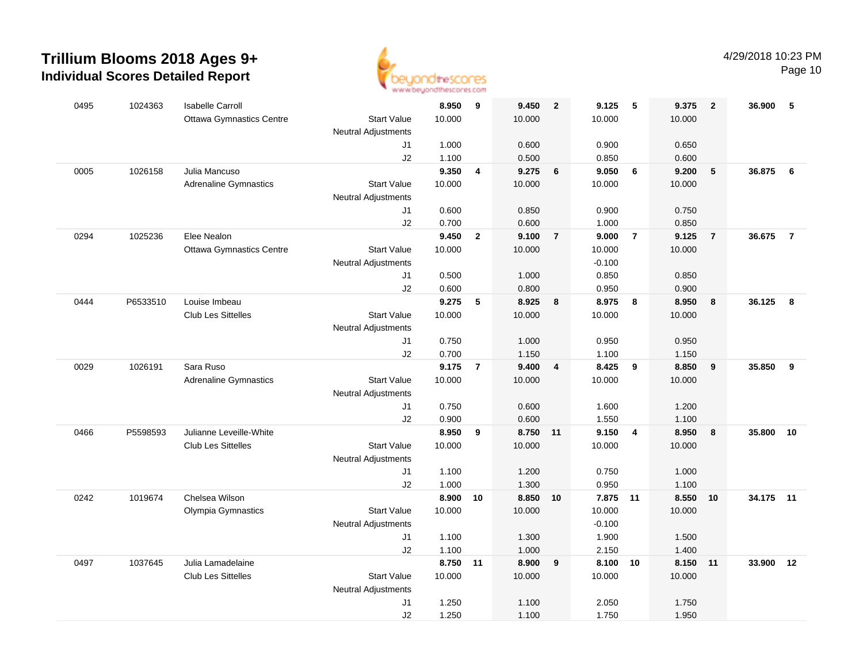

| 0495 | 1024363  | <b>Isabelle Carroll</b>         |                            | 8.950          | 9                       | 9.450          | $\overline{2}$ | 9.125          | 5                       | 9.375          | $\overline{2}$ | 36.900    | 5              |
|------|----------|---------------------------------|----------------------------|----------------|-------------------------|----------------|----------------|----------------|-------------------------|----------------|----------------|-----------|----------------|
|      |          | <b>Ottawa Gymnastics Centre</b> | <b>Start Value</b>         | 10.000         |                         | 10.000         |                | 10.000         |                         | 10.000         |                |           |                |
|      |          |                                 | <b>Neutral Adjustments</b> |                |                         |                |                |                |                         |                |                |           |                |
|      |          |                                 | J1                         | 1.000          |                         | 0.600          |                | 0.900          |                         | 0.650          |                |           |                |
|      |          |                                 | J2                         | 1.100          |                         | 0.500          |                | 0.850          |                         | 0.600          |                |           |                |
| 0005 | 1026158  | Julia Mancuso                   |                            | 9.350          | $\overline{\mathbf{4}}$ | 9.275          | 6              | 9.050          | $6\overline{6}$         | 9.200          | 5              | 36.875    | 6              |
|      |          | <b>Adrenaline Gymnastics</b>    | <b>Start Value</b>         | 10.000         |                         | 10.000         |                | 10.000         |                         | 10.000         |                |           |                |
|      |          |                                 | <b>Neutral Adjustments</b> |                |                         |                |                |                |                         |                |                |           |                |
|      |          |                                 | J1                         | 0.600          |                         | 0.850          |                | 0.900          |                         | 0.750          |                |           |                |
| 0294 | 1025236  | Elee Nealon                     | J2                         | 0.700<br>9.450 | $\overline{2}$          | 0.600<br>9.100 | $\overline{7}$ | 1.000<br>9.000 | $\overline{7}$          | 0.850<br>9.125 | $\overline{7}$ | 36.675    | $\overline{7}$ |
|      |          | <b>Ottawa Gymnastics Centre</b> | <b>Start Value</b>         | 10.000         |                         | 10.000         |                | 10.000         |                         | 10.000         |                |           |                |
|      |          |                                 | <b>Neutral Adjustments</b> |                |                         |                |                | $-0.100$       |                         |                |                |           |                |
|      |          |                                 | J1                         | 0.500          |                         | 1.000          |                | 0.850          |                         | 0.850          |                |           |                |
|      |          |                                 | J2                         | 0.600          |                         | 0.800          |                | 0.950          |                         | 0.900          |                |           |                |
| 0444 | P6533510 | Louise Imbeau                   |                            | 9.275          | 5                       | 8.925          | 8              | 8.975          | $\overline{\mathbf{8}}$ | 8.950          | 8              | 36.125    | 8              |
|      |          | Club Les Sittelles              | <b>Start Value</b>         | 10.000         |                         | 10.000         |                | 10.000         |                         | 10.000         |                |           |                |
|      |          |                                 | <b>Neutral Adjustments</b> |                |                         |                |                |                |                         |                |                |           |                |
|      |          |                                 | J1                         | 0.750          |                         | 1.000          |                | 0.950          |                         | 0.950          |                |           |                |
|      |          |                                 | J2                         | 0.700          |                         | 1.150          |                | 1.100          |                         | 1.150          |                |           |                |
| 0029 | 1026191  | Sara Ruso                       |                            | 9.175          | $\overline{7}$          | 9.400          | 4              | 8.425          | 9                       | 8.850          | 9              | 35.850    | 9              |
|      |          | <b>Adrenaline Gymnastics</b>    | <b>Start Value</b>         | 10.000         |                         | 10.000         |                | 10.000         |                         | 10.000         |                |           |                |
|      |          |                                 | <b>Neutral Adjustments</b> |                |                         |                |                |                |                         |                |                |           |                |
|      |          |                                 | J1                         | 0.750          |                         | 0.600          |                | 1.600          |                         | 1.200          |                |           |                |
|      |          |                                 | J2                         | 0.900          |                         | 0.600          |                | 1.550          |                         | 1.100          |                |           |                |
| 0466 | P5598593 | Julianne Leveille-White         |                            | 8.950          | 9                       | 8.750 11       |                | 9.150          | $\overline{\mathbf{4}}$ | 8.950          | 8              | 35.800    | 10             |
|      |          | <b>Club Les Sittelles</b>       | <b>Start Value</b>         | 10.000         |                         | 10.000         |                | 10.000         |                         | 10.000         |                |           |                |
|      |          |                                 | <b>Neutral Adjustments</b> |                |                         |                |                |                |                         |                |                |           |                |
|      |          |                                 | J1                         | 1.100          |                         | 1.200          |                | 0.750          |                         | 1.000          |                |           |                |
|      |          |                                 | J2                         | 1.000          |                         | 1.300          |                | 0.950          |                         | 1.100          |                |           |                |
| 0242 | 1019674  | Chelsea Wilson                  |                            | 8.900          | 10                      | 8.850 10       |                | 7.875 11       |                         | 8.550          | 10             | 34.175 11 |                |
|      |          | Olympia Gymnastics              | <b>Start Value</b>         | 10.000         |                         | 10.000         |                | 10.000         |                         | 10.000         |                |           |                |
|      |          |                                 | <b>Neutral Adjustments</b> |                |                         |                |                | $-0.100$       |                         |                |                |           |                |
|      |          |                                 | J1                         | 1.100          |                         | 1.300          |                | 1.900          |                         | 1.500          |                |           |                |
|      |          |                                 | J2                         | 1.100          |                         | 1.000          |                | 2.150          |                         | 1.400          |                |           |                |
| 0497 | 1037645  | Julia Lamadelaine               |                            | 8.750          | 11                      | 8.900          | 9              | 8.100 10       |                         | 8.150          | 11             | 33.900    | 12             |
|      |          | <b>Club Les Sittelles</b>       | <b>Start Value</b>         | 10.000         |                         | 10.000         |                | 10.000         |                         | 10.000         |                |           |                |
|      |          |                                 | <b>Neutral Adjustments</b> |                |                         |                |                |                |                         |                |                |           |                |
|      |          |                                 | J1                         | 1.250          |                         | 1.100          |                | 2.050          |                         | 1.750          |                |           |                |
|      |          |                                 | J2                         | 1.250          |                         | 1.100          |                | 1.750          |                         | 1.950          |                |           |                |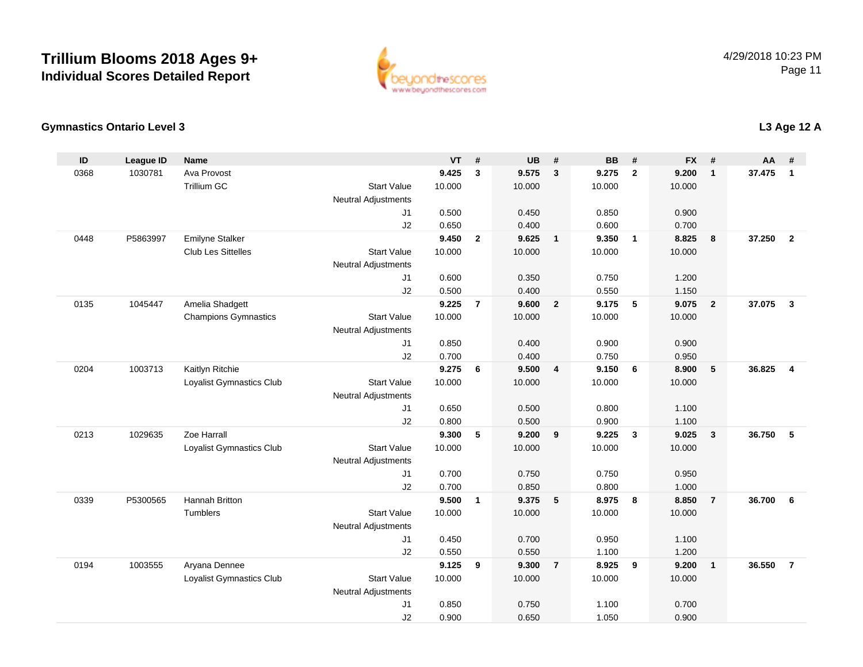

#### **Gymnastics Ontario Level 3**

| ID   | <b>League ID</b> | <b>Name</b>                 |                            | <b>VT</b> | #              | <b>UB</b> | #               | <b>BB</b> | #                       | <b>FX</b> | #              | <b>AA</b> | #              |
|------|------------------|-----------------------------|----------------------------|-----------|----------------|-----------|-----------------|-----------|-------------------------|-----------|----------------|-----------|----------------|
| 0368 | 1030781          | Ava Provost                 |                            | 9.425     | $\mathbf{3}$   | 9.575     | $\mathbf{3}$    | 9.275     | $\overline{2}$          | 9.200     | $\mathbf{1}$   | 37.475    | $\overline{1}$ |
|      |                  | <b>Trillium GC</b>          | <b>Start Value</b>         | 10.000    |                | 10.000    |                 | 10.000    |                         | 10.000    |                |           |                |
|      |                  |                             | <b>Neutral Adjustments</b> |           |                |           |                 |           |                         |           |                |           |                |
|      |                  |                             | J1                         | 0.500     |                | 0.450     |                 | 0.850     |                         | 0.900     |                |           |                |
|      |                  |                             | J2                         | 0.650     |                | 0.400     |                 | 0.600     |                         | 0.700     |                |           |                |
| 0448 | P5863997         | <b>Emilyne Stalker</b>      |                            | 9.450     | $\overline{2}$ | 9.625     | $\overline{1}$  | 9.350     | $\overline{1}$          | 8.825     | 8              | 37.250    | $\overline{2}$ |
|      |                  | <b>Club Les Sittelles</b>   | <b>Start Value</b>         | 10.000    |                | 10.000    |                 | 10.000    |                         | 10.000    |                |           |                |
|      |                  |                             | <b>Neutral Adjustments</b> |           |                |           |                 |           |                         |           |                |           |                |
|      |                  |                             | J1                         | 0.600     |                | 0.350     |                 | 0.750     |                         | 1.200     |                |           |                |
|      |                  |                             | J2                         | 0.500     |                | 0.400     |                 | 0.550     |                         | 1.150     |                |           |                |
| 0135 | 1045447          | Amelia Shadgett             |                            | 9.225     | $\overline{7}$ | 9.600     | $\overline{2}$  | 9.175     | -5                      | 9.075     | $\overline{2}$ | 37.075    | $\mathbf{3}$   |
|      |                  | <b>Champions Gymnastics</b> | <b>Start Value</b>         | 10.000    |                | 10.000    |                 | 10.000    |                         | 10.000    |                |           |                |
|      |                  |                             | <b>Neutral Adjustments</b> |           |                |           |                 |           |                         |           |                |           |                |
|      |                  |                             | J1                         | 0.850     |                | 0.400     |                 | 0.900     |                         | 0.900     |                |           |                |
|      |                  |                             | J2                         | 0.700     |                | 0.400     |                 | 0.750     |                         | 0.950     |                |           |                |
| 0204 | 1003713          | Kaitlyn Ritchie             |                            | 9.275     | 6              | 9.500     | $\overline{4}$  | 9.150     | 6                       | 8.900     | 5              | 36.825    | $\overline{4}$ |
|      |                  | Loyalist Gymnastics Club    | <b>Start Value</b>         | 10.000    |                | 10.000    |                 | 10.000    |                         | 10.000    |                |           |                |
|      |                  |                             | Neutral Adjustments        |           |                |           |                 |           |                         |           |                |           |                |
|      |                  |                             | J1                         | 0.650     |                | 0.500     |                 | 0.800     |                         | 1.100     |                |           |                |
|      |                  |                             | J2                         | 0.800     |                | 0.500     |                 | 0.900     |                         | 1.100     |                |           |                |
| 0213 | 1029635          | Zoe Harrall                 |                            | 9.300     | $\sqrt{5}$     | 9.200     | 9               | 9.225     | $\overline{\mathbf{3}}$ | 9.025     | $\mathbf{3}$   | 36.750    | 5              |
|      |                  | Loyalist Gymnastics Club    | <b>Start Value</b>         | 10.000    |                | 10.000    |                 | 10.000    |                         | 10.000    |                |           |                |
|      |                  |                             | <b>Neutral Adjustments</b> |           |                |           |                 |           |                         |           |                |           |                |
|      |                  |                             | J1                         | 0.700     |                | 0.750     |                 | 0.750     |                         | 0.950     |                |           |                |
|      |                  |                             | J2                         | 0.700     |                | 0.850     |                 | 0.800     |                         | 1.000     |                |           |                |
| 0339 | P5300565         | Hannah Britton              |                            | 9.500     | $\mathbf{1}$   | 9.375     | $5\phantom{.0}$ | 8.975     | 8                       | 8.850     | $\overline{7}$ | 36.700    | 6              |
|      |                  | Tumblers                    | <b>Start Value</b>         | 10.000    |                | 10.000    |                 | 10.000    |                         | 10.000    |                |           |                |
|      |                  |                             | <b>Neutral Adjustments</b> |           |                |           |                 |           |                         |           |                |           |                |
|      |                  |                             | J1                         | 0.450     |                | 0.700     |                 | 0.950     |                         | 1.100     |                |           |                |
|      |                  |                             | J2                         | 0.550     |                | 0.550     |                 | 1.100     |                         | 1.200     |                |           |                |
| 0194 | 1003555          | Aryana Dennee               |                            | 9.125     | 9              | 9.300     | $\overline{7}$  | 8.925     | 9                       | 9.200     | $\mathbf{1}$   | 36.550    | $\overline{7}$ |
|      |                  | Loyalist Gymnastics Club    | <b>Start Value</b>         | 10.000    |                | 10.000    |                 | 10.000    |                         | 10.000    |                |           |                |
|      |                  |                             | <b>Neutral Adjustments</b> |           |                |           |                 |           |                         |           |                |           |                |
|      |                  |                             | J1                         | 0.850     |                | 0.750     |                 | 1.100     |                         | 0.700     |                |           |                |
|      |                  |                             | J2                         | 0.900     |                | 0.650     |                 | 1.050     |                         | 0.900     |                |           |                |

### **L3 Age 12 A**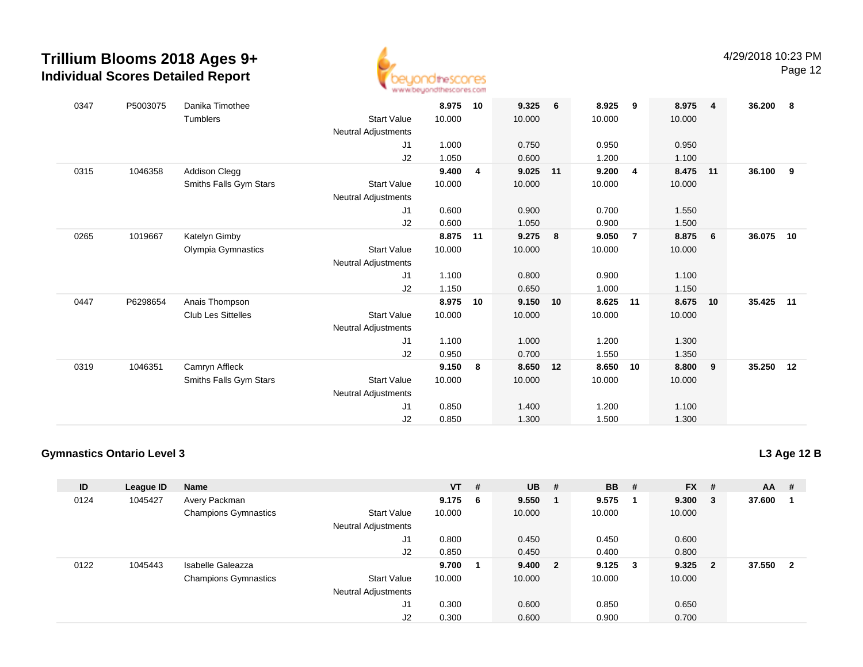

Page 12

| 0347 | P5003075 | Danika Timothee           |                            | 8.975  | 10 | 9.325  | 6       | 8.925  | 9              | 8.975  | $\overline{4}$  | 36.200    | - 8 |
|------|----------|---------------------------|----------------------------|--------|----|--------|---------|--------|----------------|--------|-----------------|-----------|-----|
|      |          | Tumblers                  | <b>Start Value</b>         | 10.000 |    | 10.000 |         | 10.000 |                | 10.000 |                 |           |     |
|      |          |                           | Neutral Adjustments        |        |    |        |         |        |                |        |                 |           |     |
|      |          |                           | J1                         | 1.000  |    | 0.750  |         | 0.950  |                | 0.950  |                 |           |     |
|      |          |                           | J2                         | 1.050  |    | 0.600  |         | 1.200  |                | 1.100  |                 |           |     |
| 0315 | 1046358  | <b>Addison Clegg</b>      |                            | 9.400  | 4  | 9.025  | 11      | 9.200  | 4              | 8.475  | 11              | 36.100    | 9   |
|      |          | Smiths Falls Gym Stars    | <b>Start Value</b>         | 10.000 |    | 10.000 |         | 10.000 |                | 10.000 |                 |           |     |
|      |          |                           | Neutral Adjustments        |        |    |        |         |        |                |        |                 |           |     |
|      |          |                           | J <sub>1</sub>             | 0.600  |    | 0.900  |         | 0.700  |                | 1.550  |                 |           |     |
|      |          |                           | J2                         | 0.600  |    | 1.050  |         | 0.900  |                | 1.500  |                 |           |     |
| 0265 | 1019667  | Katelyn Gimby             |                            | 8.875  | 11 | 9.275  | 8       | 9.050  | $\overline{7}$ | 8.875  | $6\overline{6}$ | 36.075 10 |     |
|      |          | Olympia Gymnastics        | <b>Start Value</b>         | 10.000 |    | 10.000 |         | 10.000 |                | 10.000 |                 |           |     |
|      |          |                           | Neutral Adjustments        |        |    |        |         |        |                |        |                 |           |     |
|      |          |                           | J1                         | 1.100  |    | 0.800  |         | 0.900  |                | 1.100  |                 |           |     |
|      |          |                           | J2                         | 1.150  |    | 0.650  |         | 1.000  |                | 1.150  |                 |           |     |
| 0447 | P6298654 | Anais Thompson            |                            | 8.975  | 10 | 9.150  | 10      | 8.625  | 11             | 8.675  | 10              | 35.425    | 11  |
|      |          | <b>Club Les Sittelles</b> | <b>Start Value</b>         | 10.000 |    | 10.000 |         | 10.000 |                | 10.000 |                 |           |     |
|      |          |                           | <b>Neutral Adjustments</b> |        |    |        |         |        |                |        |                 |           |     |
|      |          |                           | J1                         | 1.100  |    | 1.000  |         | 1.200  |                | 1.300  |                 |           |     |
|      |          |                           | J2                         | 0.950  |    | 0.700  |         | 1.550  |                | 1.350  |                 |           |     |
| 0319 | 1046351  | Camryn Affleck            |                            | 9.150  | 8  | 8.650  | $12 \,$ | 8.650  | 10             | 8.800  | 9               | 35.250 12 |     |
|      |          | Smiths Falls Gym Stars    | <b>Start Value</b>         | 10.000 |    | 10.000 |         | 10.000 |                | 10.000 |                 |           |     |
|      |          |                           | <b>Neutral Adjustments</b> |        |    |        |         |        |                |        |                 |           |     |
|      |          |                           | J1                         | 0.850  |    | 1.400  |         | 1.200  |                | 1.100  |                 |           |     |
|      |          |                           | J2                         | 0.850  |    | 1.300  |         | 1.500  |                | 1.300  |                 |           |     |
|      |          |                           |                            |        |    |        |         |        |                |        |                 |           |     |

#### **Gymnastics Ontario Level 3**

| ID   | League ID | <b>Name</b>                 |                            | <b>VT</b> | #   | <b>UB</b> | #                       | <b>BB</b> | # | $FX$ # |                | $AA$ # |                |
|------|-----------|-----------------------------|----------------------------|-----------|-----|-----------|-------------------------|-----------|---|--------|----------------|--------|----------------|
| 0124 | 1045427   | Avery Packman               |                            | 9.175     | - 6 | 9.550     |                         | 9.575     |   | 9.300  | 3              | 37.600 |                |
|      |           | <b>Champions Gymnastics</b> | <b>Start Value</b>         | 10.000    |     | 10.000    |                         | 10.000    |   | 10.000 |                |        |                |
|      |           |                             | <b>Neutral Adjustments</b> |           |     |           |                         |           |   |        |                |        |                |
|      |           |                             | J1                         | 0.800     |     | 0.450     |                         | 0.450     |   | 0.600  |                |        |                |
|      |           |                             | J2                         | 0.850     |     | 0.450     |                         | 0.400     |   | 0.800  |                |        |                |
| 0122 | 1045443   | Isabelle Galeazza           |                            | 9.700     | - 1 | 9.400     | $\overline{\mathbf{2}}$ | 9.125     | 3 | 9.325  | $\overline{2}$ | 37.550 | $\overline{2}$ |
|      |           | <b>Champions Gymnastics</b> | <b>Start Value</b>         | 10.000    |     | 10.000    |                         | 10.000    |   | 10.000 |                |        |                |
|      |           |                             | <b>Neutral Adjustments</b> |           |     |           |                         |           |   |        |                |        |                |
|      |           |                             | J1                         | 0.300     |     | 0.600     |                         | 0.850     |   | 0.650  |                |        |                |
|      |           |                             | J2                         | 0.300     |     | 0.600     |                         | 0.900     |   | 0.700  |                |        |                |

**L3 Age 12 B**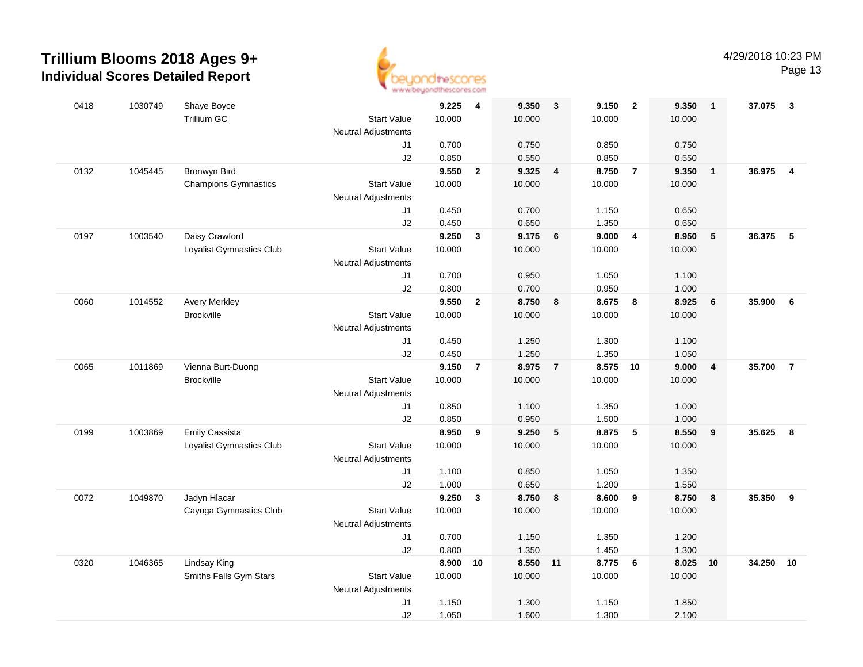

| 0418 | 1030749 | Shaye Boyce                 |                            | 9.225  | 4              | 9.350    | 3                       | 9.150  | $\overline{2}$ | 9.350  | $\overline{1}$ | 37.075 | $\overline{\mathbf{3}}$ |
|------|---------|-----------------------------|----------------------------|--------|----------------|----------|-------------------------|--------|----------------|--------|----------------|--------|-------------------------|
|      |         | Trillium GC                 | <b>Start Value</b>         | 10.000 |                | 10.000   |                         | 10.000 |                | 10.000 |                |        |                         |
|      |         |                             | Neutral Adjustments        |        |                |          |                         |        |                |        |                |        |                         |
|      |         |                             | J1                         | 0.700  |                | 0.750    |                         | 0.850  |                | 0.750  |                |        |                         |
|      |         |                             | J2                         | 0.850  |                | 0.550    |                         | 0.850  |                | 0.550  |                |        |                         |
| 0132 | 1045445 | Bronwyn Bird                |                            | 9.550  | $\mathbf{2}$   | 9.325    | $\overline{\mathbf{4}}$ | 8.750  | $\overline{7}$ | 9.350  | $\overline{1}$ | 36.975 | $\overline{\mathbf{4}}$ |
|      |         | <b>Champions Gymnastics</b> | <b>Start Value</b>         | 10.000 |                | 10.000   |                         | 10.000 |                | 10.000 |                |        |                         |
|      |         |                             | <b>Neutral Adjustments</b> |        |                |          |                         |        |                |        |                |        |                         |
|      |         |                             | J1                         | 0.450  |                | 0.700    |                         | 1.150  |                | 0.650  |                |        |                         |
|      |         |                             | J2                         | 0.450  |                | 0.650    |                         | 1.350  |                | 0.650  |                |        |                         |
| 0197 | 1003540 | Daisy Crawford              |                            | 9.250  | 3              | 9.175    | 6                       | 9.000  | $\overline{4}$ | 8.950  | $-5$           | 36.375 | - 5                     |
|      |         | Loyalist Gymnastics Club    | <b>Start Value</b>         | 10.000 |                | 10.000   |                         | 10.000 |                | 10.000 |                |        |                         |
|      |         |                             | <b>Neutral Adjustments</b> |        |                |          |                         |        |                |        |                |        |                         |
|      |         |                             | J1                         | 0.700  |                | 0.950    |                         | 1.050  |                | 1.100  |                |        |                         |
|      |         |                             | J2                         | 0.800  |                | 0.700    |                         | 0.950  |                | 1.000  |                |        |                         |
| 0060 | 1014552 | <b>Avery Merkley</b>        |                            | 9.550  | $\overline{2}$ | 8.750    | 8                       | 8.675  | 8              | 8.925  | $\bf 6$        | 35.900 | 6                       |
|      |         | <b>Brockville</b>           | <b>Start Value</b>         | 10.000 |                | 10.000   |                         | 10.000 |                | 10.000 |                |        |                         |
|      |         |                             | <b>Neutral Adjustments</b> |        |                |          |                         |        |                |        |                |        |                         |
|      |         |                             | J1                         | 0.450  |                | 1.250    |                         | 1.300  |                | 1.100  |                |        |                         |
|      |         |                             | J2                         | 0.450  |                | 1.250    |                         | 1.350  |                | 1.050  |                |        |                         |
| 0065 | 1011869 | Vienna Burt-Duong           |                            | 9.150  | $\overline{7}$ | 8.975    | $\overline{7}$          | 8.575  | 10             | 9.000  | $\overline{4}$ | 35.700 | $\overline{7}$          |
|      |         | <b>Brockville</b>           | <b>Start Value</b>         | 10.000 |                | 10.000   |                         | 10.000 |                | 10.000 |                |        |                         |
|      |         |                             | <b>Neutral Adjustments</b> |        |                |          |                         |        |                |        |                |        |                         |
|      |         |                             | J1                         | 0.850  |                | 1.100    |                         | 1.350  |                | 1.000  |                |        |                         |
|      |         |                             | J2                         | 0.850  |                | 0.950    |                         | 1.500  |                | 1.000  |                |        |                         |
| 0199 | 1003869 | <b>Emily Cassista</b>       |                            | 8.950  | 9              | 9.250    | 5                       | 8.875  | 5              | 8.550  | 9              | 35.625 | 8                       |
|      |         | Loyalist Gymnastics Club    | <b>Start Value</b>         | 10.000 |                | 10.000   |                         | 10.000 |                | 10.000 |                |        |                         |
|      |         |                             | <b>Neutral Adjustments</b> |        |                |          |                         |        |                |        |                |        |                         |
|      |         |                             | J1                         | 1.100  |                | 0.850    |                         | 1.050  |                | 1.350  |                |        |                         |
|      |         |                             | J2                         | 1.000  |                | 0.650    |                         | 1.200  |                | 1.550  |                |        |                         |
| 0072 | 1049870 | Jadyn Hlacar                |                            | 9.250  | $\mathbf{3}$   | 8.750    | 8                       | 8.600  | 9              | 8.750  | 8              | 35.350 | 9                       |
|      |         | Cayuga Gymnastics Club      | <b>Start Value</b>         | 10.000 |                | 10.000   |                         | 10.000 |                | 10.000 |                |        |                         |
|      |         |                             | <b>Neutral Adjustments</b> |        |                |          |                         |        |                |        |                |        |                         |
|      |         |                             | J1                         | 0.700  |                | 1.150    |                         | 1.350  |                | 1.200  |                |        |                         |
|      |         |                             | J2                         | 0.800  |                | 1.350    |                         | 1.450  |                | 1.300  |                |        |                         |
| 0320 | 1046365 | Lindsay King                |                            | 8.900  | 10             | 8.550 11 |                         | 8.775  | 6              | 8.025  | 10             | 34.250 | 10                      |
|      |         | Smiths Falls Gym Stars      | <b>Start Value</b>         | 10.000 |                | 10.000   |                         | 10.000 |                | 10.000 |                |        |                         |
|      |         |                             | <b>Neutral Adjustments</b> |        |                |          |                         |        |                |        |                |        |                         |
|      |         |                             | J <sub>1</sub>             | 1.150  |                | 1.300    |                         | 1.150  |                | 1.850  |                |        |                         |
|      |         |                             | J2                         | 1.050  |                | 1.600    |                         | 1.300  |                | 2.100  |                |        |                         |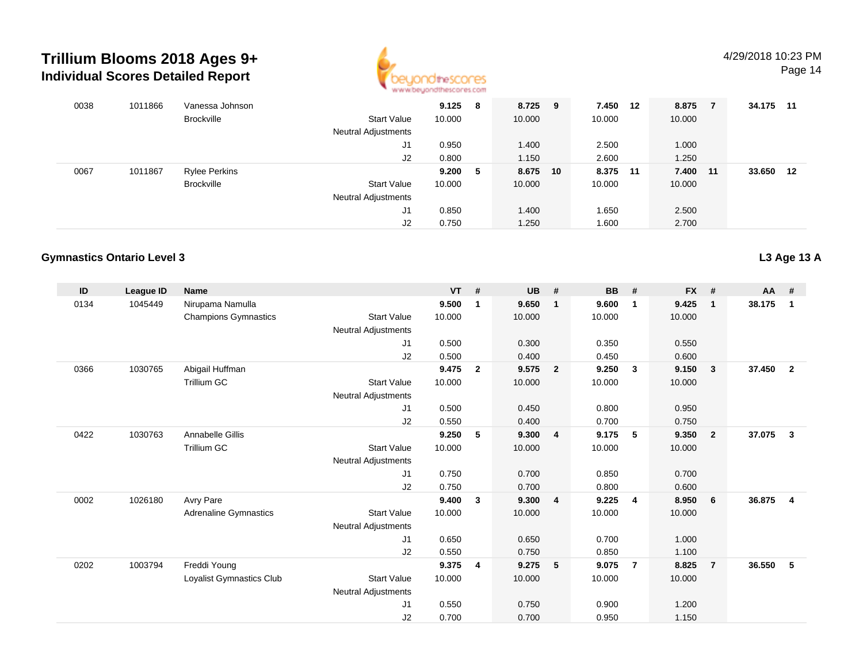

Page 14

| 0038 | 1011866 | Vanessa Johnson      |                            | 9.125  | 8 | 8.725 9  | 7.450    | -12 | 8.875    | 34.175 | $-11$ |
|------|---------|----------------------|----------------------------|--------|---|----------|----------|-----|----------|--------|-------|
|      |         | <b>Brockville</b>    | Start Value                | 10.000 |   | 10.000   | 10.000   |     | 10.000   |        |       |
|      |         |                      | <b>Neutral Adjustments</b> |        |   |          |          |     |          |        |       |
|      |         |                      | J1                         | 0.950  |   | 1.400    | 2.500    |     | 1.000    |        |       |
|      |         |                      | J2                         | 0.800  |   | 1.150    | 2.600    |     | 1.250    |        |       |
| 0067 | 1011867 | <b>Rylee Perkins</b> |                            | 9.200  | 5 | 8.675 10 | 8.375 11 |     | 7.400 11 | 33.650 | 12    |
|      |         | <b>Brockville</b>    | <b>Start Value</b>         | 10.000 |   | 10.000   | 10.000   |     | 10.000   |        |       |
|      |         |                      | <b>Neutral Adjustments</b> |        |   |          |          |     |          |        |       |
|      |         |                      | J1                         | 0.850  |   | 1.400    | 1.650    |     | 2.500    |        |       |
|      |         |                      | J2                         | 0.750  |   | 1.250    | 1.600    |     | 2.700    |        |       |

#### **Gymnastics Ontario Level 3**

| ID   | League ID | <b>Name</b>                  |                            | <b>VT</b> | #              | <b>UB</b> | #                       | <b>BB</b> | #                       | <b>FX</b> | #              | $AA$ # |                         |
|------|-----------|------------------------------|----------------------------|-----------|----------------|-----------|-------------------------|-----------|-------------------------|-----------|----------------|--------|-------------------------|
| 0134 | 1045449   | Nirupama Namulla             |                            | 9.500     | $\mathbf{1}$   | 9.650     | $\mathbf{1}$            | 9.600     | $\mathbf{1}$            | 9.425     | $\mathbf{1}$   | 38.175 | 1                       |
|      |           | <b>Champions Gymnastics</b>  | <b>Start Value</b>         | 10.000    |                | 10.000    |                         | 10.000    |                         | 10.000    |                |        |                         |
|      |           |                              | <b>Neutral Adjustments</b> |           |                |           |                         |           |                         |           |                |        |                         |
|      |           |                              | J1                         | 0.500     |                | 0.300     |                         | 0.350     |                         | 0.550     |                |        |                         |
|      |           |                              | J2                         | 0.500     |                | 0.400     |                         | 0.450     |                         | 0.600     |                |        |                         |
| 0366 | 1030765   | Abigail Huffman              |                            | 9.475     | $\overline{2}$ | 9.575     | $\overline{\mathbf{2}}$ | 9.250     | $\overline{\mathbf{3}}$ | 9.150     | 3              | 37.450 | $\overline{\mathbf{2}}$ |
|      |           | Trillium GC                  | <b>Start Value</b>         | 10.000    |                | 10.000    |                         | 10.000    |                         | 10.000    |                |        |                         |
|      |           |                              | <b>Neutral Adjustments</b> |           |                |           |                         |           |                         |           |                |        |                         |
|      |           |                              | J1                         | 0.500     |                | 0.450     |                         | 0.800     |                         | 0.950     |                |        |                         |
|      |           |                              | J2                         | 0.550     |                | 0.400     |                         | 0.700     |                         | 0.750     |                |        |                         |
| 0422 | 1030763   | Annabelle Gillis             |                            | 9.250     | 5              | 9.300     | $\overline{\mathbf{4}}$ | 9.175     | 5                       | 9.350     | $\overline{2}$ | 37.075 | $\mathbf{3}$            |
|      |           | <b>Trillium GC</b>           | <b>Start Value</b>         | 10.000    |                | 10.000    |                         | 10.000    |                         | 10.000    |                |        |                         |
|      |           |                              | <b>Neutral Adjustments</b> |           |                |           |                         |           |                         |           |                |        |                         |
|      |           |                              | J1                         | 0.750     |                | 0.700     |                         | 0.850     |                         | 0.700     |                |        |                         |
|      |           |                              | J2                         | 0.750     |                | 0.700     |                         | 0.800     |                         | 0.600     |                |        |                         |
| 0002 | 1026180   | Avry Pare                    |                            | 9.400     | 3              | 9.300     | $\overline{\mathbf{4}}$ | 9.225     | $\overline{4}$          | 8.950     | 6              | 36.875 | $\overline{4}$          |
|      |           | <b>Adrenaline Gymnastics</b> | <b>Start Value</b>         | 10.000    |                | 10.000    |                         | 10.000    |                         | 10.000    |                |        |                         |
|      |           |                              | <b>Neutral Adjustments</b> |           |                |           |                         |           |                         |           |                |        |                         |
|      |           |                              | J1                         | 0.650     |                | 0.650     |                         | 0.700     |                         | 1.000     |                |        |                         |
|      |           |                              | J2                         | 0.550     |                | 0.750     |                         | 0.850     |                         | 1.100     |                |        |                         |
| 0202 | 1003794   | Freddi Young                 |                            | 9.375     | $\overline{4}$ | 9.275     | $-5$                    | 9.075     | $\overline{7}$          | 8.825     | $\overline{7}$ | 36.550 | -5                      |
|      |           | Loyalist Gymnastics Club     | <b>Start Value</b>         | 10.000    |                | 10.000    |                         | 10.000    |                         | 10.000    |                |        |                         |
|      |           |                              | <b>Neutral Adjustments</b> |           |                |           |                         |           |                         |           |                |        |                         |
|      |           |                              | J <sub>1</sub>             | 0.550     |                | 0.750     |                         | 0.900     |                         | 1.200     |                |        |                         |
|      |           |                              | J2                         | 0.700     |                | 0.700     |                         | 0.950     |                         | 1.150     |                |        |                         |

**L3 Age 13 A**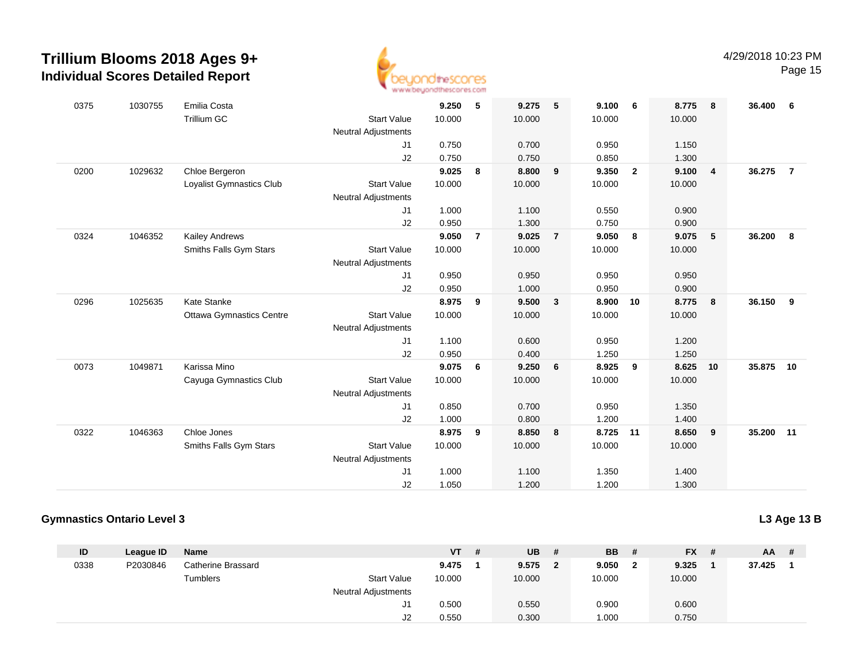

Page 15

| 0375 | 1030755 | Emilia Costa                    |                            | 9.250  | 5              | 9.275  | 5              | 9.100  | - 6            | 8.775  | 8              | 36.400 6 |                |
|------|---------|---------------------------------|----------------------------|--------|----------------|--------|----------------|--------|----------------|--------|----------------|----------|----------------|
|      |         | <b>Trillium GC</b>              | <b>Start Value</b>         | 10.000 |                | 10.000 |                | 10.000 |                | 10.000 |                |          |                |
|      |         |                                 | <b>Neutral Adjustments</b> |        |                |        |                |        |                |        |                |          |                |
|      |         |                                 | J1                         | 0.750  |                | 0.700  |                | 0.950  |                | 1.150  |                |          |                |
|      |         |                                 | J2                         | 0.750  |                | 0.750  |                | 0.850  |                | 1.300  |                |          |                |
| 0200 | 1029632 | Chloe Bergeron                  |                            | 9.025  | 8              | 8.800  | 9              | 9.350  | $\overline{2}$ | 9.100  | $\overline{4}$ | 36.275   | $\overline{7}$ |
|      |         | Loyalist Gymnastics Club        | <b>Start Value</b>         | 10.000 |                | 10.000 |                | 10.000 |                | 10.000 |                |          |                |
|      |         |                                 | <b>Neutral Adjustments</b> |        |                |        |                |        |                |        |                |          |                |
|      |         |                                 | J1                         | 1.000  |                | 1.100  |                | 0.550  |                | 0.900  |                |          |                |
|      |         |                                 | J2                         | 0.950  |                | 1.300  |                | 0.750  |                | 0.900  |                |          |                |
| 0324 | 1046352 | <b>Kailey Andrews</b>           |                            | 9.050  | $\overline{7}$ | 9.025  | $\overline{7}$ | 9.050  | 8              | 9.075  | 5              | 36.200   | - 8            |
|      |         | Smiths Falls Gym Stars          | <b>Start Value</b>         | 10.000 |                | 10.000 |                | 10.000 |                | 10.000 |                |          |                |
|      |         |                                 | <b>Neutral Adjustments</b> |        |                |        |                |        |                |        |                |          |                |
|      |         |                                 | J1                         | 0.950  |                | 0.950  |                | 0.950  |                | 0.950  |                |          |                |
|      |         |                                 | J2                         | 0.950  |                | 1.000  |                | 0.950  |                | 0.900  |                |          |                |
| 0296 | 1025635 | Kate Stanke                     |                            | 8.975  | 9              | 9.500  | $\mathbf{3}$   | 8.900  | 10             | 8.775  | 8              | 36.150   | 9              |
|      |         | <b>Ottawa Gymnastics Centre</b> | <b>Start Value</b>         | 10.000 |                | 10.000 |                | 10.000 |                | 10.000 |                |          |                |
|      |         |                                 | <b>Neutral Adjustments</b> |        |                |        |                |        |                |        |                |          |                |
|      |         |                                 | J1                         | 1.100  |                | 0.600  |                | 0.950  |                | 1.200  |                |          |                |
|      |         |                                 | J2                         | 0.950  |                | 0.400  |                | 1.250  |                | 1.250  |                |          |                |
| 0073 | 1049871 | Karissa Mino                    |                            | 9.075  | 6              | 9.250  | 6              | 8.925  | 9              | 8.625  | 10             | 35.875   | 10             |
|      |         | Cayuga Gymnastics Club          | <b>Start Value</b>         | 10.000 |                | 10.000 |                | 10.000 |                | 10.000 |                |          |                |
|      |         |                                 | <b>Neutral Adjustments</b> |        |                |        |                |        |                |        |                |          |                |
|      |         |                                 | J1                         | 0.850  |                | 0.700  |                | 0.950  |                | 1.350  |                |          |                |
|      |         |                                 | J2                         | 1.000  |                | 0.800  |                | 1.200  |                | 1.400  |                |          |                |
| 0322 | 1046363 | Chloe Jones                     |                            | 8.975  | 9              | 8.850  | 8              | 8.725  | $-11$          | 8.650  | 9              | 35.200   | 11             |
|      |         | Smiths Falls Gym Stars          | <b>Start Value</b>         | 10.000 |                | 10.000 |                | 10.000 |                | 10.000 |                |          |                |
|      |         |                                 | <b>Neutral Adjustments</b> |        |                |        |                |        |                |        |                |          |                |
|      |         |                                 | J <sub>1</sub>             | 1.000  |                | 1.100  |                | 1.350  |                | 1.400  |                |          |                |
|      |         |                                 | J2                         | 1.050  |                | 1.200  |                | 1.200  |                | 1.300  |                |          |                |
|      |         |                                 |                            |        |                |        |                |        |                |        |                |          |                |

#### **Gymnastics Ontario Level 3**

**L3 Age 13 B**

| ID   | League ID | <b>Name</b>        |                            | <b>VT</b> | -# | <b>UB</b> | # | <b>BB</b> | $FX$ # | $AA$ # |  |
|------|-----------|--------------------|----------------------------|-----------|----|-----------|---|-----------|--------|--------|--|
| 0338 | P2030846  | Catherine Brassard |                            | 9.475     |    | 9.575     |   | 9.050     | 9.325  | 37.425 |  |
|      |           | Tumblers           | <b>Start Value</b>         | 10.000    |    | 10.000    |   | 10.000    | 10.000 |        |  |
|      |           |                    | <b>Neutral Adjustments</b> |           |    |           |   |           |        |        |  |
|      |           |                    | J1                         | 0.500     |    | 0.550     |   | 0.900     | 0.600  |        |  |
|      |           |                    | J2                         | 0.550     |    | 0.300     |   | 000.1     | 0.750  |        |  |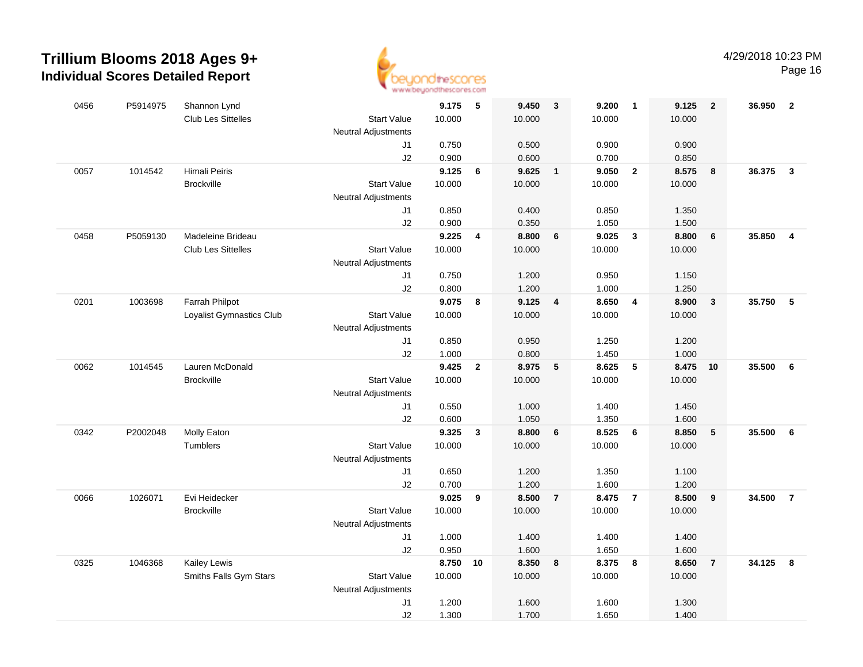

| 0456 | P5914975 | Shannon Lynd              |                            | 9.175  | $\overline{\phantom{0}}$ | 9.450  | $\mathbf{3}$    | 9.200  | $\overline{1}$          | 9.125  | $\overline{2}$          | 36.950 2 |                         |
|------|----------|---------------------------|----------------------------|--------|--------------------------|--------|-----------------|--------|-------------------------|--------|-------------------------|----------|-------------------------|
|      |          | <b>Club Les Sittelles</b> | <b>Start Value</b>         | 10.000 |                          | 10.000 |                 | 10.000 |                         | 10.000 |                         |          |                         |
|      |          |                           | <b>Neutral Adjustments</b> |        |                          |        |                 |        |                         |        |                         |          |                         |
|      |          |                           | J1                         | 0.750  |                          | 0.500  |                 | 0.900  |                         | 0.900  |                         |          |                         |
|      |          |                           | J2                         | 0.900  |                          | 0.600  |                 | 0.700  |                         | 0.850  |                         |          |                         |
| 0057 | 1014542  | Himali Peiris             |                            | 9.125  | 6                        | 9.625  | $\mathbf{1}$    | 9.050  | $\overline{\mathbf{2}}$ | 8.575  | 8                       | 36.375   | $\mathbf{3}$            |
|      |          | <b>Brockville</b>         | <b>Start Value</b>         | 10.000 |                          | 10.000 |                 | 10.000 |                         | 10.000 |                         |          |                         |
|      |          |                           | <b>Neutral Adjustments</b> |        |                          |        |                 |        |                         |        |                         |          |                         |
|      |          |                           | J1                         | 0.850  |                          | 0.400  |                 | 0.850  |                         | 1.350  |                         |          |                         |
|      |          |                           | J2                         | 0.900  |                          | 0.350  |                 | 1.050  |                         | 1.500  |                         |          |                         |
| 0458 | P5059130 | Madeleine Brideau         |                            | 9.225  | $\overline{\mathbf{4}}$  | 8.800  | $6\phantom{1}6$ | 9.025  | $\mathbf{3}$            | 8.800  | $6\phantom{1}6$         | 35.850   | $\overline{4}$          |
|      |          | Club Les Sittelles        | <b>Start Value</b>         | 10.000 |                          | 10.000 |                 | 10.000 |                         | 10.000 |                         |          |                         |
|      |          |                           | <b>Neutral Adjustments</b> |        |                          |        |                 |        |                         |        |                         |          |                         |
|      |          |                           | J1                         | 0.750  |                          | 1.200  |                 | 0.950  |                         | 1.150  |                         |          |                         |
|      |          |                           | J2                         | 0.800  |                          | 1.200  |                 | 1.000  |                         | 1.250  |                         |          |                         |
| 0201 | 1003698  | Farrah Philpot            |                            | 9.075  | 8                        | 9.125  | $\overline{4}$  | 8.650  | $\overline{4}$          | 8.900  | $\overline{\mathbf{3}}$ | 35.750 5 |                         |
|      |          | Loyalist Gymnastics Club  | <b>Start Value</b>         | 10.000 |                          | 10.000 |                 | 10.000 |                         | 10.000 |                         |          |                         |
|      |          |                           | <b>Neutral Adjustments</b> |        |                          |        |                 |        |                         |        |                         |          |                         |
|      |          |                           | J <sub>1</sub>             | 0.850  |                          | 0.950  |                 | 1.250  |                         | 1.200  |                         |          |                         |
|      |          |                           | J2                         | 1.000  |                          | 0.800  |                 | 1.450  |                         | 1.000  |                         |          |                         |
| 0062 | 1014545  | Lauren McDonald           |                            | 9.425  | $\mathbf{2}$             | 8.975  | 5               | 8.625  | $5\phantom{.0}$         | 8.475  | 10                      | 35.500   | 6                       |
|      |          | <b>Brockville</b>         | <b>Start Value</b>         | 10.000 |                          | 10.000 |                 | 10.000 |                         | 10.000 |                         |          |                         |
|      |          |                           | <b>Neutral Adjustments</b> |        |                          |        |                 |        |                         |        |                         |          |                         |
|      |          |                           | J1                         | 0.550  |                          | 1.000  |                 | 1.400  |                         | 1.450  |                         |          |                         |
|      |          |                           | J2                         | 0.600  |                          | 1.050  |                 | 1.350  |                         | 1.600  |                         |          |                         |
| 0342 | P2002048 | Molly Eaton               |                            | 9.325  | $\mathbf{3}$             | 8.800  | 6               | 8.525  | 6                       | 8.850  | 5                       | 35.500   | - 6                     |
|      |          | Tumblers                  | <b>Start Value</b>         | 10.000 |                          | 10.000 |                 | 10.000 |                         | 10.000 |                         |          |                         |
|      |          |                           | <b>Neutral Adjustments</b> |        |                          |        |                 |        |                         |        |                         |          |                         |
|      |          |                           | J1                         | 0.650  |                          | 1.200  |                 | 1.350  |                         | 1.100  |                         |          |                         |
|      |          |                           | J2                         | 0.700  |                          | 1.200  |                 | 1.600  |                         | 1.200  |                         |          |                         |
| 0066 | 1026071  | Evi Heidecker             |                            | 9.025  | 9                        | 8.500  | $\overline{7}$  | 8.475  | $\overline{7}$          | 8.500  | 9                       | 34.500   | $\overline{7}$          |
|      |          | <b>Brockville</b>         | <b>Start Value</b>         | 10.000 |                          | 10.000 |                 | 10.000 |                         | 10.000 |                         |          |                         |
|      |          |                           | <b>Neutral Adjustments</b> |        |                          |        |                 |        |                         |        |                         |          |                         |
|      |          |                           | J <sub>1</sub>             | 1.000  |                          | 1.400  |                 | 1.400  |                         | 1.400  |                         |          |                         |
|      |          |                           | J2                         | 0.950  |                          | 1.600  |                 | 1.650  |                         | 1.600  |                         |          |                         |
| 0325 | 1046368  | Kailey Lewis              |                            | 8.750  | 10                       | 8.350  | 8               | 8.375  | 8                       | 8.650  | $\overline{7}$          | 34.125   | $\overline{\mathbf{8}}$ |
|      |          | Smiths Falls Gym Stars    | <b>Start Value</b>         | 10.000 |                          | 10.000 |                 | 10.000 |                         | 10.000 |                         |          |                         |
|      |          |                           | <b>Neutral Adjustments</b> |        |                          |        |                 |        |                         |        |                         |          |                         |
|      |          |                           | J <sub>1</sub>             | 1.200  |                          | 1.600  |                 | 1.600  |                         | 1.300  |                         |          |                         |
|      |          |                           | J2                         | 1.300  |                          | 1.700  |                 | 1.650  |                         | 1.400  |                         |          |                         |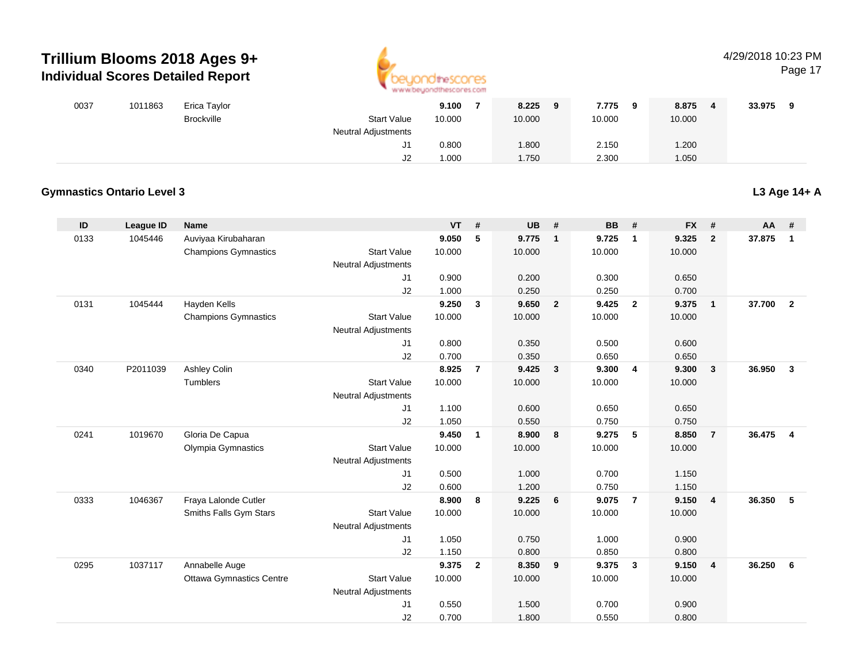

### 4/29/2018 10:23 PM

Page 17

| 0037 | 1011863 | Erica Taylor      |                            | 9.100  | 8.225<br>9 | 7.775<br>$\mathbf{o}$ | 8.875  | 33.975 |
|------|---------|-------------------|----------------------------|--------|------------|-----------------------|--------|--------|
|      |         | <b>Brockville</b> | <b>Start Value</b>         | 10.000 | 10.000     | 10.000                | 10.000 |        |
|      |         |                   | <b>Neutral Adjustments</b> |        |            |                       |        |        |
|      |         |                   | J1.                        | 0.800  | 1.800      | 2.150                 | .200   |        |
|      |         |                   | J2                         | 1.000  | 1.750      | 2.300                 | .050   |        |

#### **Gymnastics Ontario Level 3**

**L3 Age 14+ A**

| ID   | <b>League ID</b> | <b>Name</b>                     |                            | <b>VT</b> | #              | <b>UB</b> | #              | <b>BB</b> | #                       | <b>FX</b> | #              | <b>AA</b> | #              |
|------|------------------|---------------------------------|----------------------------|-----------|----------------|-----------|----------------|-----------|-------------------------|-----------|----------------|-----------|----------------|
| 0133 | 1045446          | Auviyaa Kirubaharan             |                            | 9.050     | 5              | 9.775     | $\mathbf{1}$   | 9.725     | $\overline{1}$          | 9.325     | $\overline{2}$ | 37.875    | $\mathbf{1}$   |
|      |                  | <b>Champions Gymnastics</b>     | <b>Start Value</b>         | 10.000    |                | 10.000    |                | 10.000    |                         | 10.000    |                |           |                |
|      |                  |                                 | <b>Neutral Adjustments</b> |           |                |           |                |           |                         |           |                |           |                |
|      |                  |                                 | J1                         | 0.900     |                | 0.200     |                | 0.300     |                         | 0.650     |                |           |                |
|      |                  |                                 | J2                         | 1.000     |                | 0.250     |                | 0.250     |                         | 0.700     |                |           |                |
| 0131 | 1045444          | Hayden Kells                    |                            | 9.250     | 3              | 9.650     | $\overline{2}$ | 9.425     | $\overline{2}$          | 9.375     | $\mathbf{1}$   | 37.700    | $\overline{2}$ |
|      |                  | <b>Champions Gymnastics</b>     | <b>Start Value</b>         | 10.000    |                | 10.000    |                | 10.000    |                         | 10.000    |                |           |                |
|      |                  |                                 | <b>Neutral Adjustments</b> |           |                |           |                |           |                         |           |                |           |                |
|      |                  |                                 | J1                         | 0.800     |                | 0.350     |                | 0.500     |                         | 0.600     |                |           |                |
|      |                  |                                 | J2                         | 0.700     |                | 0.350     |                | 0.650     |                         | 0.650     |                |           |                |
| 0340 | P2011039         | Ashley Colin                    |                            | 8.925     | $\overline{7}$ | 9.425     | $\mathbf{3}$   | 9.300     | $\overline{4}$          | 9.300     | $\mathbf{3}$   | 36.950    | $\mathbf{3}$   |
|      |                  | <b>Tumblers</b>                 | <b>Start Value</b>         | 10.000    |                | 10.000    |                | 10.000    |                         | 10.000    |                |           |                |
|      |                  |                                 | <b>Neutral Adjustments</b> |           |                |           |                |           |                         |           |                |           |                |
|      |                  |                                 | J1                         | 1.100     |                | 0.600     |                | 0.650     |                         | 0.650     |                |           |                |
|      |                  |                                 | J2                         | 1.050     |                | 0.550     |                | 0.750     |                         | 0.750     |                |           |                |
| 0241 | 1019670          | Gloria De Capua                 |                            | 9.450     | 1              | 8.900     | 8              | 9.275     | 5                       | 8.850     | $\overline{7}$ | 36.475    | $\overline{4}$ |
|      |                  | Olympia Gymnastics              | <b>Start Value</b>         | 10.000    |                | 10.000    |                | 10.000    |                         | 10.000    |                |           |                |
|      |                  |                                 | <b>Neutral Adjustments</b> |           |                |           |                |           |                         |           |                |           |                |
|      |                  |                                 | J1                         | 0.500     |                | 1.000     |                | 0.700     |                         | 1.150     |                |           |                |
|      |                  |                                 | J2                         | 0.600     |                | 1.200     |                | 0.750     |                         | 1.150     |                |           |                |
| 0333 | 1046367          | Fraya Lalonde Cutler            |                            | 8.900     | 8              | 9.225     | 6              | 9.075     | $\overline{7}$          | 9.150     | $\overline{4}$ | 36.350    | 5              |
|      |                  | Smiths Falls Gym Stars          | <b>Start Value</b>         | 10.000    |                | 10.000    |                | 10.000    |                         | 10.000    |                |           |                |
|      |                  |                                 | <b>Neutral Adjustments</b> |           |                |           |                |           |                         |           |                |           |                |
|      |                  |                                 | J1                         | 1.050     |                | 0.750     |                | 1.000     |                         | 0.900     |                |           |                |
|      |                  |                                 | J2                         | 1.150     |                | 0.800     |                | 0.850     |                         | 0.800     |                |           |                |
| 0295 | 1037117          | Annabelle Auge                  |                            | 9.375     | $\mathbf{2}$   | 8.350     | 9              | 9.375     | $\overline{\mathbf{3}}$ | 9.150     | $\overline{4}$ | 36.250    | 6              |
|      |                  | <b>Ottawa Gymnastics Centre</b> | <b>Start Value</b>         | 10.000    |                | 10.000    |                | 10.000    |                         | 10.000    |                |           |                |
|      |                  |                                 | Neutral Adjustments        |           |                |           |                |           |                         |           |                |           |                |
|      |                  |                                 | J1                         | 0.550     |                | 1.500     |                | 0.700     |                         | 0.900     |                |           |                |
|      |                  |                                 | J2                         | 0.700     |                | 1.800     |                | 0.550     |                         | 0.800     |                |           |                |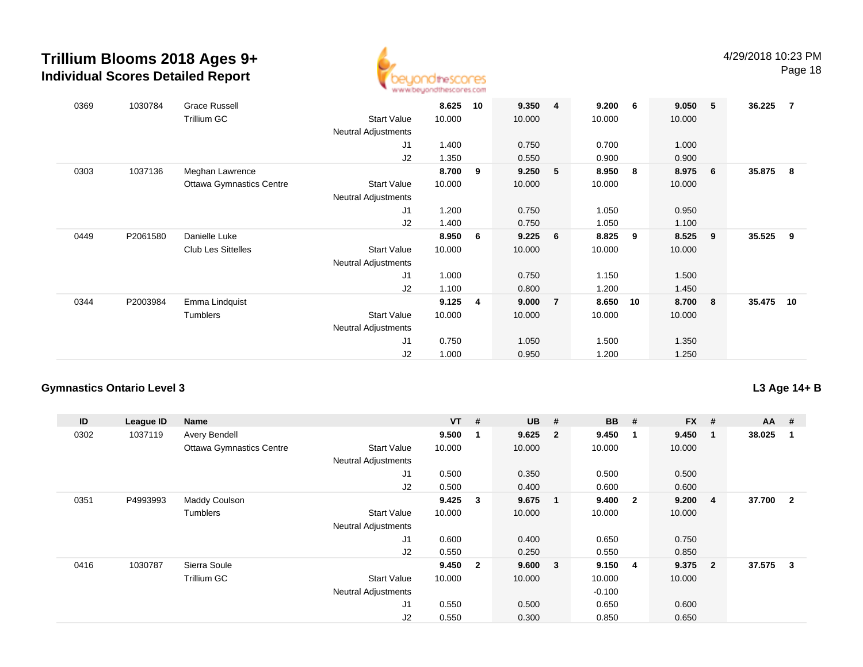

Page 18

| 0369 | 1030784  | <b>Grace Russell</b><br>Trillium GC | <b>Start Value</b>         | 8.625<br>10.000 | 10 | 9.350<br>10.000 | $\overline{\mathbf{4}}$ | 9.200<br>10.000 | 6  | 9.050<br>10.000 | $-5$           | 36.225   | $\overline{7}$ |
|------|----------|-------------------------------------|----------------------------|-----------------|----|-----------------|-------------------------|-----------------|----|-----------------|----------------|----------|----------------|
|      |          |                                     | <b>Neutral Adjustments</b> |                 |    |                 |                         |                 |    |                 |                |          |                |
|      |          |                                     | J <sub>1</sub>             | 1.400           |    | 0.750           |                         | 0.700           |    | 1.000           |                |          |                |
|      |          |                                     | J2                         | 1.350           |    | 0.550           |                         | 0.900           |    | 0.900           |                |          |                |
| 0303 | 1037136  | Meghan Lawrence                     |                            | 8.700           | 9  | 9.250           | 5                       | 8.950           | 8  | 8.975           | 6              | 35.875 8 |                |
|      |          | <b>Ottawa Gymnastics Centre</b>     | <b>Start Value</b>         | 10.000          |    | 10.000          |                         | 10.000          |    | 10.000          |                |          |                |
|      |          |                                     | <b>Neutral Adjustments</b> |                 |    |                 |                         |                 |    |                 |                |          |                |
|      |          |                                     | J <sub>1</sub>             | 1.200           |    | 0.750           |                         | 1.050           |    | 0.950           |                |          |                |
|      |          |                                     | J2                         | 1.400           |    | 0.750           |                         | 1.050           |    | 1.100           |                |          |                |
| 0449 | P2061580 | Danielle Luke                       |                            | 8.950           | 6  | 9.225           | 6                       | 8.825           | 9  | 8.525           | - 9            | 35.525   | - 9            |
|      |          | <b>Club Les Sittelles</b>           | <b>Start Value</b>         | 10.000          |    | 10.000          |                         | 10.000          |    | 10.000          |                |          |                |
|      |          |                                     | <b>Neutral Adjustments</b> |                 |    |                 |                         |                 |    |                 |                |          |                |
|      |          |                                     | J1                         | 1.000           |    | 0.750           |                         | 1.150           |    | 1.500           |                |          |                |
|      |          |                                     | J2                         | 1.100           |    | 0.800           |                         | 1.200           |    | 1.450           |                |          |                |
| 0344 | P2003984 | Emma Lindquist                      |                            | 9.125           | 4  | 9.000           | $\overline{7}$          | 8.650           | 10 | 8.700           | 8 <sup>2</sup> | 35.475   | 10             |
|      |          | Tumblers                            | <b>Start Value</b>         | 10.000          |    | 10.000          |                         | 10.000          |    | 10.000          |                |          |                |
|      |          |                                     | <b>Neutral Adjustments</b> |                 |    |                 |                         |                 |    |                 |                |          |                |
|      |          |                                     | J <sub>1</sub>             | 0.750           |    | 1.050           |                         | 1.500           |    | 1.350           |                |          |                |
|      |          |                                     | J2                         | 1.000           |    | 0.950           |                         | 1.200           |    | 1.250           |                |          |                |

### **Gymnastics Ontario Level 3**

**L3 Age 14+ B**

| ID   | League ID | Name                            |                            | $VT$ # |                         | <b>UB</b> | #                       | <b>BB</b> | #                       | $FX$ # |                | $AA$ # |                         |
|------|-----------|---------------------------------|----------------------------|--------|-------------------------|-----------|-------------------------|-----------|-------------------------|--------|----------------|--------|-------------------------|
| 0302 | 1037119   | <b>Avery Bendell</b>            |                            | 9.500  | -1                      | 9.625     | $\overline{\mathbf{2}}$ | 9.450     | -1                      | 9.450  | 1              | 38.025 | 1                       |
|      |           | <b>Ottawa Gymnastics Centre</b> | <b>Start Value</b>         | 10.000 |                         | 10.000    |                         | 10.000    |                         | 10.000 |                |        |                         |
|      |           |                                 | <b>Neutral Adjustments</b> |        |                         |           |                         |           |                         |        |                |        |                         |
|      |           |                                 | J <sub>1</sub>             | 0.500  |                         | 0.350     |                         | 0.500     |                         | 0.500  |                |        |                         |
|      |           |                                 | J2                         | 0.500  |                         | 0.400     |                         | 0.600     |                         | 0.600  |                |        |                         |
| 0351 | P4993993  | <b>Maddy Coulson</b>            |                            | 9.425  | $\mathbf{3}$            | 9.675     | $\overline{1}$          | 9.400     | $\overline{\mathbf{2}}$ | 9.200  | 4              | 37.700 | $\overline{\mathbf{2}}$ |
|      |           | Tumblers                        | <b>Start Value</b>         | 10.000 |                         | 10.000    |                         | 10.000    |                         | 10.000 |                |        |                         |
|      |           |                                 | <b>Neutral Adjustments</b> |        |                         |           |                         |           |                         |        |                |        |                         |
|      |           |                                 | J <sub>1</sub>             | 0.600  |                         | 0.400     |                         | 0.650     |                         | 0.750  |                |        |                         |
|      |           |                                 | J2                         | 0.550  |                         | 0.250     |                         | 0.550     |                         | 0.850  |                |        |                         |
| 0416 | 1030787   | Sierra Soule                    |                            | 9.450  | $\overline{\mathbf{2}}$ | 9.600     | $\overline{\mathbf{3}}$ | 9.150     | 4                       | 9.375  | $\overline{2}$ | 37.575 | 3                       |
|      |           | Trillium GC                     | <b>Start Value</b>         | 10.000 |                         | 10.000    |                         | 10.000    |                         | 10.000 |                |        |                         |
|      |           |                                 | <b>Neutral Adjustments</b> |        |                         |           |                         | $-0.100$  |                         |        |                |        |                         |
|      |           |                                 | J <sub>1</sub>             | 0.550  |                         | 0.500     |                         | 0.650     |                         | 0.600  |                |        |                         |
|      |           |                                 | J2                         | 0.550  |                         | 0.300     |                         | 0.850     |                         | 0.650  |                |        |                         |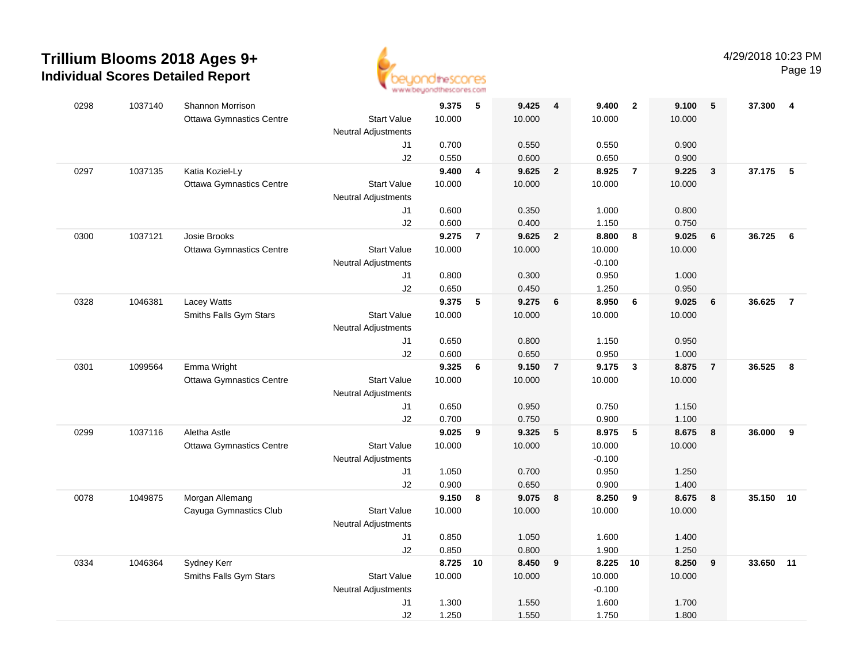

| 0298 | 1037140 | <b>Shannon Morrison</b>         |                            | 9.375  | 5                       | 9.425   | $\overline{\mathbf{4}}$ | 9.400    | $\overline{\mathbf{2}}$ | 9.100  | 5              | 37.300 | 4              |
|------|---------|---------------------------------|----------------------------|--------|-------------------------|---------|-------------------------|----------|-------------------------|--------|----------------|--------|----------------|
|      |         | <b>Ottawa Gymnastics Centre</b> | <b>Start Value</b>         | 10.000 |                         | 10.000  |                         | 10.000   |                         | 10.000 |                |        |                |
|      |         |                                 | <b>Neutral Adjustments</b> |        |                         |         |                         |          |                         |        |                |        |                |
|      |         |                                 | J1                         | 0.700  |                         | 0.550   |                         | 0.550    |                         | 0.900  |                |        |                |
|      |         |                                 | J2                         | 0.550  |                         | 0.600   |                         | 0.650    |                         | 0.900  |                |        |                |
| 0297 | 1037135 | Katia Koziel-Ly                 |                            | 9.400  | $\overline{\mathbf{4}}$ | 9.625   | $\overline{\mathbf{2}}$ | 8.925    | $\overline{7}$          | 9.225  | $\mathbf{3}$   | 37.175 | $-5$           |
|      |         | <b>Ottawa Gymnastics Centre</b> | <b>Start Value</b>         | 10.000 |                         | 10.000  |                         | 10.000   |                         | 10.000 |                |        |                |
|      |         |                                 | <b>Neutral Adjustments</b> |        |                         |         |                         |          |                         |        |                |        |                |
|      |         |                                 | J1                         | 0.600  |                         | 0.350   |                         | 1.000    |                         | 0.800  |                |        |                |
|      |         |                                 | J2                         | 0.600  |                         | 0.400   |                         | 1.150    |                         | 0.750  |                |        |                |
| 0300 | 1037121 | Josie Brooks                    |                            | 9.275  | $\overline{7}$          | 9.625   | $\overline{2}$          | 8.800    | 8                       | 9.025  | 6              | 36.725 | 6              |
|      |         | <b>Ottawa Gymnastics Centre</b> | <b>Start Value</b>         | 10.000 |                         | 10.000  |                         | 10.000   |                         | 10.000 |                |        |                |
|      |         |                                 | <b>Neutral Adjustments</b> |        |                         |         |                         | $-0.100$ |                         |        |                |        |                |
|      |         |                                 | J1                         | 0.800  |                         | 0.300   |                         | 0.950    |                         | 1.000  |                |        |                |
|      |         |                                 | J2                         | 0.650  |                         | 0.450   |                         | 1.250    |                         | 0.950  |                |        |                |
| 0328 | 1046381 | Lacey Watts                     |                            | 9.375  | 5                       | 9.275   | 6                       | 8.950    | 6                       | 9.025  | 6              | 36.625 | $\overline{7}$ |
|      |         | Smiths Falls Gym Stars          | <b>Start Value</b>         | 10.000 |                         | 10.000  |                         | 10.000   |                         | 10.000 |                |        |                |
|      |         |                                 | <b>Neutral Adjustments</b> |        |                         |         |                         |          |                         |        |                |        |                |
|      |         |                                 | J1                         | 0.650  |                         | 0.800   |                         | 1.150    |                         | 0.950  |                |        |                |
|      |         |                                 | J2                         | 0.600  |                         | 0.650   |                         | 0.950    |                         | 1.000  |                |        |                |
| 0301 | 1099564 | Emma Wright                     |                            | 9.325  | 6                       | 9.150   | $\overline{7}$          | 9.175    | $\mathbf{3}$            | 8.875  | $\overline{7}$ | 36.525 | 8              |
|      |         | <b>Ottawa Gymnastics Centre</b> | <b>Start Value</b>         | 10.000 |                         | 10.000  |                         | 10.000   |                         | 10.000 |                |        |                |
|      |         |                                 | <b>Neutral Adjustments</b> |        |                         |         |                         |          |                         |        |                |        |                |
|      |         |                                 | J1                         | 0.650  |                         | 0.950   |                         | 0.750    |                         | 1.150  |                |        |                |
|      |         |                                 | J2                         | 0.700  |                         | 0.750   |                         | 0.900    |                         | 1.100  |                |        |                |
| 0299 | 1037116 | Aletha Astle                    |                            | 9.025  | 9                       | 9.325   | 5                       | 8.975    | $-5$                    | 8.675  | 8              | 36.000 | 9              |
|      |         | <b>Ottawa Gymnastics Centre</b> | <b>Start Value</b>         | 10.000 |                         | 10.000  |                         | 10.000   |                         | 10.000 |                |        |                |
|      |         |                                 | <b>Neutral Adjustments</b> |        |                         |         |                         | $-0.100$ |                         |        |                |        |                |
|      |         |                                 | J1                         | 1.050  |                         | 0.700   |                         | 0.950    |                         | 1.250  |                |        |                |
|      |         |                                 | J2                         | 0.900  |                         | 0.650   |                         | 0.900    |                         | 1.400  |                |        |                |
| 0078 | 1049875 | Morgan Allemang                 |                            | 9.150  | 8                       | 9.075 8 |                         | 8.250    | 9                       | 8.675  | 8              | 35.150 | 10             |
|      |         | Cayuga Gymnastics Club          | <b>Start Value</b>         | 10.000 |                         | 10.000  |                         | 10.000   |                         | 10.000 |                |        |                |
|      |         |                                 | <b>Neutral Adjustments</b> |        |                         |         |                         |          |                         |        |                |        |                |
|      |         |                                 | J1                         | 0.850  |                         | 1.050   |                         | 1.600    |                         | 1.400  |                |        |                |
|      |         |                                 | J2                         | 0.850  |                         | 0.800   |                         | 1.900    |                         | 1.250  |                |        |                |
| 0334 | 1046364 | Sydney Kerr                     |                            | 8.725  | 10                      | 8.450   | 9                       | 8.225    | 10                      | 8.250  | 9              | 33.650 | 11             |
|      |         | Smiths Falls Gym Stars          | <b>Start Value</b>         | 10.000 |                         | 10.000  |                         | 10.000   |                         | 10.000 |                |        |                |
|      |         |                                 | <b>Neutral Adjustments</b> |        |                         |         |                         | $-0.100$ |                         |        |                |        |                |
|      |         |                                 | J1                         | 1.300  |                         | 1.550   |                         | 1.600    |                         | 1.700  |                |        |                |
|      |         |                                 | J2                         | 1.250  |                         | 1.550   |                         | 1.750    |                         | 1.800  |                |        |                |